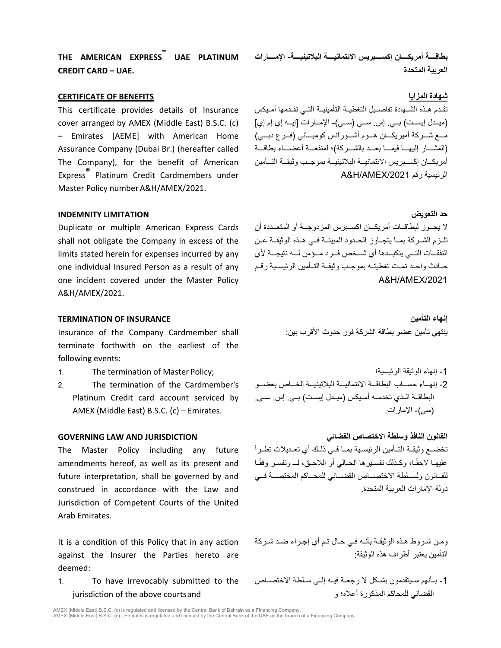**THE AMERICAN EXPRESS® UAE PLATINUM CREDIT CARD – UAE.** 

### **CERTIFICATE OF BENEFITS المزایا شھادة**

This certificate provides details of Insurance cover arranged by AMEX (Middle East) B.S.C. (c) – Emirates [AEME] with American Home Assurance Company (Dubai Br.) (hereafter called The Company), for the benefit of American Express**®** Platinum Credit Cardmembers under Master Policy number A&H/AMEX/2021.

### **حد التعویض LIMITATION INDEMNITY**

Duplicate or multiple American Express Cards shall not obligate the Company in excess of the limits stated herein for expenses incurred by any one individual Insured Person as a result of any one incident covered under the Master Policy A&H/AMEX/2021.

Insurance of the Company Cardmember shall terminate forthwith on the earliest of the following events:

- 1. The termination of Master Policy; الرئیسیة؛ الوثیقة إنھاء -1
- 2. The termination of the Cardmember's Platinum Credit card account serviced by AMEX (Middle East) B.S.C. (c) – Emirates.

The Master Policy including any future amendments hereof, as well as its present and future interpretation, shall be governed by and construed in accordance with the Law and Jurisdiction of Competent Courts of the United Arab Emirates.

It is a condition of this Policy that in any action against the Insurer the Parties hereto are deemed:

1. To have irrevocably submitted to the jurisdiction of the above courtsand

**بطاقــــة أمریكــــان إكســــبریس الائتمانیــــة البلاتینیــــة- الإمــــارات العربیة المتحدة**

تقــدم ھــذه الشــھادة تفاصــیل التغطیــة التأمینیــة التــي تقــدمھا أمــیكس (میــدل إیســت) بــي. إس. ســي (ســي)- الإمــارات [إیــھ إي إم إي] مـــع شـــركة أمیریكـــان ھـــوم أشـــورانس كومبـــاني (فـــرع دبـــي) (المشـــار إلیھـــا فیمـــا بعـــد بالشـــركة)؛ لمنفعـــة أعضـــاء بطاقـــة أمریكــان إكســبریس الائتمانیــة البلاتینیــة بموجــب وثیقــة التــأمین A&H/AMEX/2021 رقم الرئیسیة

لا یجــوز لبطاقــات أمریكــان اكســبرس المزدوجــة أو المتعــددة أن تلــزم الشــركة بمــا یتجــاوز الحــدود المبینــة فــي ھــذه الوثیقــة عــن النفقـــات التـــي یتكبـــدھا أي شـــخص فـــرد مـــؤمن لـــھ نتیجـــة لأي حــادث واحــد تمــت تغطیتــھ بموجــب وثیقــة التــأمین الرئیســیة رقــم A&H/AMEX/2021

**TERMINATION OF INSURANCE التأمین إنھاء** ینتھي تأمین عضو بطاقة الشركة فور حدوث الأقرب بین:

> -2 إنھـــاء حســـاب البطاقـــة الائتمانیـــة البلاتینیـــة الخـــاص بعضـــو البطاقــة الــذي تخدمــھ أمــیكس (میــدل إیســت) بــي. إس. ســي. (سي)- الإمارات.

**القانون النافذ وسلطة الاختصاص القضائي JURISDICTION AND LAW GOVERNING** تخضــع وثیقــة التــأمین الرئیســیة بمــا فــي ذلــك أي تعــدیلات تطــرأ علیهـا لاحقًـا، وكــذلك تفسـير ها الـحـالي أو اللاحــق، لــــ وتفسـر وفقًــا للقــانون ولســلطة الاختصــاص القضــائي للمحــاكم المختصــة فــي دولة الإمارات العربیة المتحدة.

> ومـن شـروط ھـذه الوثیقـة بأنـھ فـي حـال تـم أي إجـراء ضـد شـركة التأمین یعتبر أطراف ھذه الوثیقة:

> -1 بــأنھم ســ یتقدمون بشــكل لا رجعــة فیــ ھ إلــى ســلطة الاختصــاص القضائي للمحاكم المذكورة أعلاه؛ و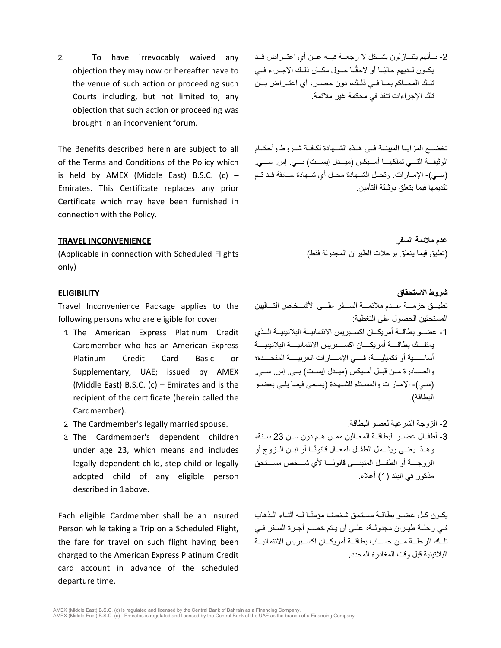2. To have irrevocably waived any objection they may now or hereafter have to the venue of such action or proceeding such Courts including, but not limited to, any objection that such action or proceeding was brought in an inconvenient forum.

The Benefits described herein are subject to all of the Terms and Conditions of the Policy which is held by AMEX (Middle East) B.S.C. (c)  $-$ Emirates. This Certificate replaces any prior Certificate which may have been furnished in connection with the Policy.

(Applicable in connection with Scheduled Flights only)

Travel Inconvenience Package applies to the following persons who are eligible for cover:

- 1. The American Express Platinum Credit Cardmember who has an American Express Platinum Credit Card Basic or Supplementary, UAE; issued by AMEX (Middle East) B.S.C. (c) – Emirates and is the recipient of the certificate (herein called the Cardmember).
- 
- 3. The Cardmember's dependent children under age 23, which means and includes legally dependent child, step child or legally adopted child of any eligible person described in 1above.

Each eligible Cardmember shall be an Insured Person while taking a Trip on a Scheduled Flight, the fare for travel on such flight having been charged to the American Express Platinum Credit card account in advance of the scheduled departure time.

-2 بــأنھم یتنــازلون بشــ كل لا رجعــة فیــ ھ عــن أي اعتــراض قــد ً یكــون لــدیھم حالیــا أو لاحقــ ً ا حــول مكــان ذلــك الإجــراء فــي تلــك المحــاكم بمــا فــي ذلــك، دون حصــر، أي اعتــراض بــأن تلك الإجراءات تنفذ في محكمة غیر ملائمة.

تخضــع المزایــا المبینــة فــي ھــذه الشــھادة لكافــة شــروط وأحكــام الوثیقـــة التـــي تملكھـــا أمـــیكس (میـــدل إیســـت) بـــي. إس. ســـي. (ســي)- الإمــارات. وتحــل الشــھادة محــل أي شــھادة ســابقة قــد تــم تقدیمھا فیما یتعلق بوثیقة التأمین.

**عدم ملائمة السفر INCONVENIENCE TRAVEL** (تطبق فیما یتعلق برحلات الطیران المجدولة فقط)

**شروط الاستحقاق ELIGIBILITY** تطبـــق حزمـــة عـــدم ملائمـــة الســـفر علـــى الأشـــخاص التـــالیین المستحقین الحصول على التغطیة:

- -1 عضــو بطاقــة أمریكــان اكســبریس الائتمانیــة البلاتینیــة الــذي یمتلــــك بطاقــــة أمریكــــان اكســــبریس الائتمانیــــة البلاتینیــــة أساســــیة أو تكمیلیــــة، فــــي الإمــــارات العربیــــة المتحــــدة؛ والصــادرة مــن قبــل أمــیكس (میــدل إیســت) بــي. إس. ســي. (سـي)- الإمـارات والمسـتلم للشـھادة (یسـمى فیمـا یلـي بعضـو البطاقة).
- 2. The Cardmember's legally married spouse. .البطاقة لعضو الشرعیة الزوجة -2 -3 أطفــال عضــو البطاقــة المعــالین ممــن ھــم دون ســن 23 ســنة، ً وھــذا یعنــي ویشــمل الطفــل المعــال قانونــا أو ابــن الــزوج أو ً الزوجـــة أو الطفـــل المتبنـــى قانونـــا لأي شـــخص مســـتحق مذكور في البند (1) أعلاه.

یكــون كــل عضــو بطاقــة مســتحق ً شخصــ ً ا مؤمنــا لــھ أثنــاء الــذھاب فــي رحلــ ة طیــران مجدولــة، علــى أن یــتم خصــم أجــرة الســفر فــي تلــك الرحلــة مــن حســاب بطاقــة أمریكــان اكســبریس الائتمانیــة البلاتینیة قبل وقت المغادرة المحدد.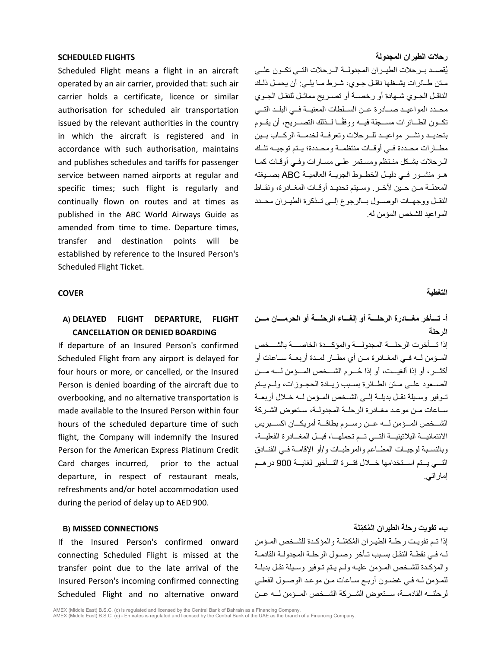Scheduled Flight means a flight in an aircraft operated by an air carrier, provided that: such air carrier holds a certificate, licence or similar authorisation for scheduled air transportation issued by the relevant authorities in the country in which the aircraft is registered and in accordance with such authorisation, maintains and publishes schedules and tariffs for passenger service between named airports at regular and specific times; such flight is regularly and continually flown on routes and at times as published in the ABC World Airways Guide as amended from time to time. Departure times, transfer and destination points will be established by reference to the Insured Person's Scheduled Flight Ticket.

### **التغطیة COVER**

# **A) DELAYED FLIGHT DEPARTURE, FLIGHT CANCELLATION OR DENIED BOARDING**

If departure of an Insured Person's confirmed Scheduled Flight from any airport is delayed for four hours or more, or cancelled, or the Insured Person is denied boarding of the aircraft due to overbooking, and no alternative transportation is made available to the Insured Person within four hours of the scheduled departure time of such flight, the Company will indemnify the Insured Person for the American Express Platinum Credit Card charges incurred, prior to the actual departure, in respect of restaurant meals, refreshments and/or hotel accommodation used during the period of delay up to AED 900.

If the Insured Person's confirmed onward connecting Scheduled Flight is missed at the transfer point due to the late arrival of the Insured Person's incoming confirmed connecting Scheduled Flight and no alternative onward

### **رحلات الطیران المجدولة FLIGHTS SCHEDULED**

ُقصــد بــرحلات الطیــران المجدولــة الــرحلات التــي تكــون علــى ی مــتن طــائرات یشــغلھا ناقــل جــوي، شــرط مــا یلــي: أن یحمــل ذلــك الناقــل الجــوي شــھادة أو رخصــة أو تصــریح مماثــل للنقــل الجــوي محــدد المواعیــد صــادرة عــن الســلطات المعنیــة فــي البلــد التــي تكــون الطــائرات مســجلة فیــھ ووفقــ لــذلك التصــریح، أن یقــوم ً ا بتحدیــد ونشــر مواعیــد للــرحلات وتعرفــة لخدمــة الركــاب بــین مطــارات محــددة فــي أوقــات منتظمــة ومحــددة؛ یــتم توجیــھ تلــ ك الــرحلات بشــكل منــتظم ومســتمر علــى مســارات وفــي أوقــات كمــا ھــو منشــور فــي دلیــل الخطــوط الجویــة العالمیــة ABC بصــیغتھ المعدلــة مــن حــین لآخــر. وســیتم تحدیــد أوقــات المغــادرة، ونقــاط النقــل ووجھــات الوصــول بــالرجوع إلــى تــذكرة الطیــران محــدد المواعید للشخص المؤمن لھ.

# **أ- تـــأخر مغـــادرة الرحلـــة أو إلغـــاء الرحلـــة أو الحرمـــان مـــن الرحلة**

إذا تــــأخرت الرحلــــة المجدولــــة والمؤكــــدة الخاصــــة بالشــــخص المــؤمن لــھ فــي المغــادرة مــن أي مطــار لمــدة أربعــة ســاعات أو ُ أكثـــر، أو إذا ألغیـــت، أو إذا حـــرم الشـــخص المـــؤمن لـــھ مـــن الصــعود علــى مــتن الطــائرة بســبب زیــادة الحجــوزات، ولــم یــتم تــوفیر وســیلة نقــل بدیلـــة إلـــى الشــخص المــؤمن لــه خــلال أربعــة ســاعات مــن موعــد مغــادرة الرحلــة المجدولــة، ســتعوض الشــركة الشـــخص المـــؤمن لـــھ عـــن رســـوم بطاقـــة أمریكـــان اكســـبریس الائتمانیـــة البلاتینیـــة التـــي تـــم تحملھـــا، قبـــل المغـــادرة الفعلیـــة، وبالنســبة لوجبــات المطــاعم والمرطبــات و/أو الإقامــة فــي الفنــادق التـــي یـــتم اســـتخدامھا خـــلال فتـــرة التـــأخیر لغایـــة 900 درھـــم إماراتي.

**ب- ُ تفویت رحلة الطیران الم ِّكملة CONNECTIONS MISSED) B**

ُ إذا تــم تفویــت رحلــة الطیــران الم ِّكملــة والمؤكــدة للشــخص المــؤمن لـھ فـي نقطـ ة النقـل بسـبب تـأخر وصـول الرحلـة المجدولـة القادمـة والمؤكـدة للشـخص المـؤمن علیـھ ولـم یـتم تـوفیر وسـیلة نقـل بدیلـة للمـؤمن لـھ فـي غضـون أربـع سـاعات مـن موعـد الوصـول الفعلـي لر حلتــه القادمـــة، ســتعو ض الشـــر كة الشـــخص المـــؤمن لـــه عــن

AMEX (Middle East) B.S.C. (c) is regulated and licensed by the Central Bank of Bahrain as a Financing Company.<br>AMEX (Middle East) B.S.C. (c) - Emirates is regulated and licensed by the Central Bank of the UAE as the branch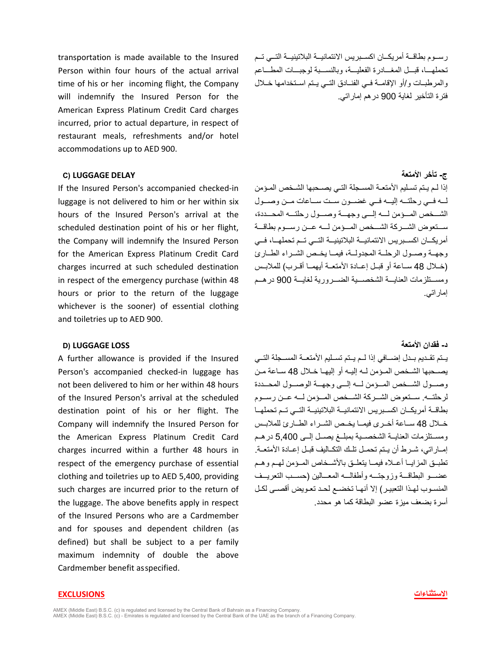transportation is made available to the Insured Person within four hours of the actual arrival time of his or her incoming flight, the Company will indemnify the Insured Person for the American Express Platinum Credit Card charges incurred, prior to actual departure, in respect of restaurant meals, refreshments and/or hotel accommodations up to AED 900.

### **ج- تأخر الأمتعة DELAY LUGGAGE) C**

If the Insured Person's accompanied checked-in luggage is not delivered to him or her within six hours of the Insured Person's arrival at the scheduled destination point of his or her flight, the Company will indemnify the Insured Person for the American Express Platinum Credit Card charges incurred at such scheduled destination in respect of the emergency purchase (within 48 hours or prior to the return of the luggage whichever is the sooner) of essential clothing and toiletries up to AED 900.

# **د- فقدان الأمتعة LOSS LUGGAGE) D**

A further allowance is provided if the Insured Person's accompanied checked-in luggage has not been delivered to him or her within 48 hours of the Insured Person's arrival at the scheduled destination point of his or her flight. The Company will indemnify the Insured Person for the American Express Platinum Credit Card charges incurred within a further 48 hours in respect of the emergency purchase of essential clothing and toiletries up to AED 5,400, providing such charges are incurred prior to the return of the luggage. The above benefits apply in respect of the Insured Persons who are a Cardmember and for spouses and dependent children (as defined) but shall be subject to a per family maximum indemnity of double the above Cardmember benefit asspecified.

رســوم بطاقــة أمریكــان اكســبریس الائتمانیــة البلاتینیــة التــي تــم تحملھـــا، قبـــل المغـــادرة الفعلیـــة، وبالنســـبة لوجبـــات المطـــاعم والمرطبــات و/أو الإقامــة فــي الفنــادق التــي یــتم اســتخدامھا خــلال فترة التأخیر لغایة 900 درھم إماراتي.

إذا لـم يـتم تسـليم الأمتعـة المسـجلة التـي يصـحبها الشـخص المـؤمن لـــھ فـــي رحلتـــھ إلیـــھ فـــي غضـــون ســـت ســـاعات مـــن وصـــول الشـــخص المـــؤمن لـــھ إلـــى وجھـــة وصـــول رحلتـــھ المحـــددة، ســـتعوض الشـــركة الشـــخص المـــؤمن لـــھ عـــن رســـوم بطاقـــة أمریكــان اكســبریس الائتمانیــة البلاتینیــة التــي تــم تحملھــا، فــي وجھــة وصــول الرحلــة المجدولــة، فیمــا یخــص الشــراء الطــارئ (خــلال 48 ســاعة أو قبــل إعــادة الأمتعــة أیھمــا أقــرب) للملابــس ومســـتلزمات العنایـــة الشخصـــیة الضـــروریة لغایـــة 900 درھـــم إماراتي.

یــتم تقــدیم بــدل إضــافي إذا لــم یــتم تســلیم الأمتعــة المســجلة التــي یصــحبھا الشــ خص المــؤمن لــھ إلیــھ أو إلیھــا خــلال 48 ســاعة مــن وصـــول الشـــخص المـــؤمن لـــھ إلـــى وجھـــة الوصـــول المحـــددة لرحلتـــھ. ســـتعوض الشـــركة الشـــخص المـــؤمن لـــھ عـــن رســـوم بطاقــة أمریكــان اكســبریس الائتمانیــة البلاتینیــة التــي تــم تحملھــا خــلال 48 ســاعة أخــرى فیمــا یخــص الشــراء الطــارئ للملابــس ومســتلزمات العنایــة الشخصــية بمبلــغ یصــل إلــى 5,400 در هـم إمــاراتي، شــرط أن یــتم تحمــل تلــك التكــالیف قبــل إعــادة الأمتعــة. تطبــق المزایــا أعــلاه فیمــا یتعلــق بالأشــخاص المــؤمن لھــم وھــم عضـــو البطاقـــة وزوجتـــھ وأطفالـــھ المعـــالین (حســـب التعریـــف المنسـوب لھـذا التعبیـر) إلا أنھـا تخضـع لحـد تعـویض أقصـى لكـل أسرة بضعف میزة عضو البطاقة كما ھو محدد.

### **الاستثناءات EXCLUSIONS**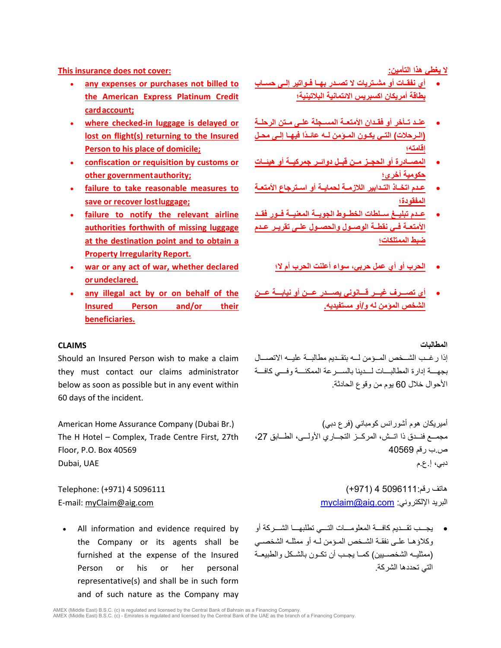**This insurance does not cover: :التأمین ھذا یغطي لا**

- **any expenses or purchases not billed to the American Express Platinum Credit cardaccount;**
- **where checked-in luggage is delayed or lost on flight(s) returning to the Insured Person to his place of domicile;**
- **confiscation or requisition by customs or other governmentauthority;**
- **failure to take reasonable measures to save or recover lostluggage;**
- **failure to notify the relevant airline authorities forthwith of missing luggage at the destination point and to obtain a Property Irregularity Report.**
- **war or any act of war, whether declared orundeclared.**
- **any illegal act by or on behalf of the Insured Person and/or their beneficiaries.**

- **أي نفقــات أو مشــتریات لا تصــدر بھــا فــواتیر إلــى حســاب بطاقة أمریكان اكسبریس الائتمانیة البلاتینیة؛**
- **عنــد تــأخر أو فقــدان الأمتعــة المســجلة علــى مــتن الرحلــة (الـرحلات) التـي یكـون المـ ً ؤمن لـھ عائـدا فیھـا إلـى محـل إقامتھ؛**
- **المصــادرة أو الحجــز مــن قبــل دوائــر جمركیــة أو ھیئــات حكومیة أخرى؛**
- **عــدم اتخــاذ التــدابیر اللازمــة لحمایــة أو اســترجاع الأمتعــة المفقودة؛**
- **عــدم تبلیــغ ســلطات الخطــوط الجویــة المعنیــة فــور فقــد الأمتعــة فــي نقطــة الوصــول والحصــول علــى تقریــر عــدم ضبط الممتلكات؛**
	- **الحرب أو أي عمل حربي، سواء أعلنت الحرب أم لا؛**
- **أي تصـــرف غیـــر قـــانوني یصـــدر عـــن أو نیابـــة عـــن الشخص المؤمن لھ و/أو مستفیدیھ.**

### **المطالبات CLAIMS**

Should an Insured Person wish to make a claim they must contact our claims administrator below as soon as possible but in any event within 60 days of the incident.

The H Hotel – Complex, Trade Centre First, 27th Floor, P.O. Box 40569

All information and evidence required by the Company or its agents shall be furnished at the expense of the Insured Person or his or her personal representative(s) and shall be in such form and of such nature as the Company may

إذا رغــب الشــخص المــؤمن لــھ بتقــدیم مطالبــة علیــھ الاتصــ ال بجھـــة إدارة المطالبـــات لـــدینا بالســـرعة الممكنـــة وفـــي كافـــة الأحوال خلال 60 یوم من وقوع الحادثة.

أمیریكان ھوم أشورانس كومباني (فرع دبي) (.Br Dubai (Company Assurance Home American مجمـــع فنـــدق ذا اتـــش، المركـــز التجـــاري الأولـــى، الطـــابق ،27 ص.ب رقم 40569 دبي، إ.ع.م UAE ,Dubai

ھاتف رقم5096111: 4 (+971) 5096111 4 (+971) :Telephone E-mail: [myClaim@aig.com](mailto:myClaim@aig.com) [myclaim@aig.com](mailto:myclaim@aig.com) :الإلكتروني البرید

> • یجـــب تقـــدیم كافـــة المعلومـــات التـــي تطلبھـــا الشـــركة أو وكلاؤھـا علـى نفقـة الشـخص المـؤمن لـھ أو ممثلـھ الشخصـي (ممثلیــھ الشخصــیین) كمــا یجــب أن تكــون بالشــكل والطبیعــة التي تحددھا الشركة.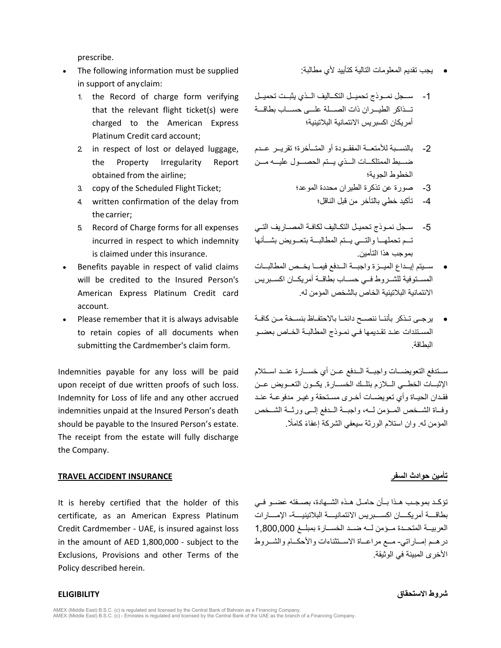prescribe.

- The following information must be supplied in support of anyclaim:
	- 1. the Record of charge form verifying that the relevant flight ticket(s) were charged to the American Express Platinum Credit card account;
	- 2. in respect of lost or delayed luggage, the Property Irregularity Report obtained from the airline;
	- -3 صورة عن تذكرة الطیران محددة الموعد؛ ;Ticket Flight Scheduled the of copy 3.
	- 4. written confirmation of the delay from the carrier;
	- 5. Record of Charge forms for all expenses incurred in respect to which indemnity is claimed under this insurance.
- Benefits payable in respect of valid claims will be credited to the Insured Person's American Express Platinum Credit card account.
- Please remember that it is always advisable to retain copies of all documents when submitting the Cardmember's claim form.

Indemnities payable for any loss will be paid upon receipt of due written proofs of such loss. Indemnity for Loss of life and any other accrued indemnities unpaid at the Insured Person's death should be payable to the Insured Person's estate. The receipt from the estate will fully discharge the Company.

### **تأمین حوادث السفر INSURANCE ACCIDENT TRAVEL**

It is hereby certified that the holder of this certificate, as an American Express Platinum Credit Cardmember - UAE, is insured against loss in the amount of AED 1,800,000 - subject to the Exclusions, Provisions and other Terms of the Policy described herein.

# • یجب تقدیم المعلومات التالیة كتأیید لأي مطالبة:

- -1 ســجل نمــوذج تحمیــل التكــالیف الــذي یثبــت تحمیــل تـــذاكر الطیـــران ذات الصـــلة علـــى حســـاب بطاقـــة أمریكان اكسبریس الائتمانیة البلاتینیة؛
- -2 بالنســبة للأمتعــة المفقــودة أو المتــأخرة؛ تقریــر عــدم ضـــبط الممتلكـــات الـــذي یـــتم الحصـــول علیـــھ مـــن الخطوط الجویة؛
	- - -4 تأكید خطي بالتأخر من قبل الناقل؛
- -5 سـجل نمـوذج تحمیـل التكـالیف لكافـة المصـاریف التـي تـــم تحملھـــا والتـــي یـــتم المطالبـــة بتعـــویض بشـــأنھا بموجب ھذا التأمین.
- ســـیتم إیـــداع المیـــزة واجبـــة الـــدفع فیمـــا یخـــص المطالبـــات المســتوفیة للشــروط فــي حســاب بطاقــة أمریكــان اكســبریس الائتمانیة البلاتینیة الخاص بالشخص المؤمن لھ.
- يرجـى تــذكر بأننــا ننصــح دائمًــا بالاحتفــاظ بنســخة مــن كافــة المسـتندات عنـد تقـدیمھا فـي نمـوذج المطالبـة الخـاص بعضـو البطاقة.

ســتدفع التعویضــات واجبــة الــدفع عــن أي خســارة عنــد اســتلام الإثبــات الخطـــي الــلازم بتلـــك الخســـارة. یكــون التعـــویض عـــن فقــدان الحیــاة وأي تعویضــات أخــرى مســتحقة وغیــر مدفوعــة عنــد وفــاة الشــخص المــؤمن لــھ، واجبــة الــدفع إلــى ورثــة الشــخص المؤمن له. وان استلام الورثة سیعفي الشركة اعفاءً كاملًا.

تؤكــد بموجــب هــذا بــأن حامــل هــذه الشـــهادة، بصــفته عضــو فــي بطاقــــة أمریكــــان اكســــبریس الائتمانیــــة البلاتینیــــة- الإمــــارات العربیــة المتحــدة مــؤمن لــھ ضــد الخســارة بمبلــغ 1,800,000 درھـــم إمـــاراتي- مـــع مراعـــاة الاســـتثناءات والأحكـــام والشـــروط الأخرى المبینة في الوثیقة.

**شروط الاستحقاق ELIGIBILITY**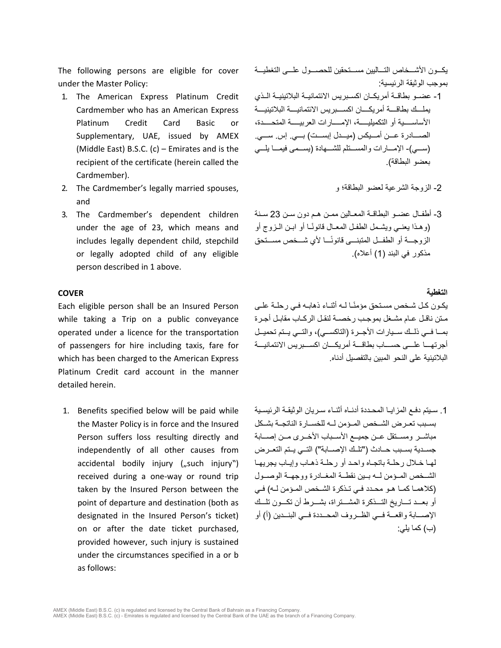The following persons are eligible for cover under the Master Policy:

- 1. The American Express Platinum Credit Cardmember who has an American Express Platinum Credit Card Basic or Supplementary, UAE, issued by AMEX (Middle East) B.S.C. (c) – Emirates and is the recipient of the certificate (herein called the Cardmember).
- 2. The Cardmember's legally married spouses, and
- 3. The Cardmember's dependent children under the age of 23, which means and includes legally dependent child, stepchild or legally adopted child of any eligible person described in 1 above.

### **التغطیة COVER**

Each eligible person shall be an Insured Person while taking a Trip on a public conveyance operated under a licence for the transportation of passengers for hire including taxis, fare for which has been charged to the American Express Platinum Credit card account in the manner detailed herein.

1. Benefits specified below will be paid while the Master Policy is in force and the Insured Person suffers loss resulting directly and independently of all other causes from accidental bodily injury  $($ "such injury") received during a one-way or round trip taken by the Insured Person between the point of departure and destination (both as designated in the Insured Person's ticket) on or after the date ticket purchased, provided however, such injury is sustained under the circumstances specified in a or b as follows:

یكـــون الأشـــخاص التـــالیین مســـتحقین للحصـــول علـــى التغطیـــة بموجب الوثیقة الرئیسیة:

- -1 عضــو بطاقــة أمریكــان اكســبریس الائتمانیــة البلاتینیــة الــذي یملــــك بطاقــــة أمریكــــان اكســــبریس الائتمانیــــة البلاتینیــــة الأساســـــیة أو التكمیلیـــــة، الإمـــــارات العربیـــــة المتحـــــدة، الصـــادرة عـــن أمـــیكس (میـــدل إبســـت) بـــي. إس. ســـي. (ســـي)- الإمـــارات والمســـتلم للشـــھادة (یســـمى فیمـــا یلـــي بعضو البطاقة).
	- -2 الزوجة الشرعیة لعضو البطاقة؛ و
- -3 أطفــال عضــو البطاقــة المعــالین ممــن ھــم دون ســن 23 ســنة ً (وھـذا یعنـي ویشــمل الطفـل المعـال قانونــا أو ابـن الــزوج أو الز وجـــة أو الطفـــل المتبنــــى قانونًــــا لأي شـــخص مســـتحق مذكور في البند (1) أعلاه).

يكـون كـل شـخص مسـتحق مؤمنًـا لــه أثنـاء ذهابـه فـي رحلــة علـي مـتن ناقـل عـام مشـغل بموجـب رخصـة لنقـل الركـاب مقابـل أجـرة بمــا فــي ذلــك ســیارات الأجــرة (التاكســي)، والتــي یــتم تحمیــل أجرتھـــا علـــى حســـاب بطاقـــة أمریكـــان اكســـبریس الائتمانیـــة البلاتینیة على النحو المبین بالتفصیل أدناه.

.1 سـیتم دفـع المزایـا المحـددة أدنـاه أثنـاء سـریان الوثیقـة الرئیسـیة بســبب تعــرض الشــخص المــؤمن لــھ للخســارة الناتجــة بشــكل مباشــر ومســتقل عــن جميــع الأســباب الأخــرى مــن إصـــابة جســدیة بســبب حــادث ("تلــك الإصــابة") التــي یــتم التعــرض لھـا خـلال رحلـة باتجـاه واحـد أو رحلـة ذھـاب وإیـاب یجریھـا الشــخص المــؤمن لــھ بــین نقطــة المغــادرة ووجھــة الوصــول (كلاھمـا كمـا ھـو محـدد فـي تـذكرة الشـخص المـؤمن لـھ) فـي أو بعـــد تـــاریخ التـــذكرة المشـــتراة، بشـــرط أن تكـــون تلـــك الإصـــابة واقعـــة فـــي الظـــروف المحـــددة فـــي البنـــدین (أ) أو (ب) كما یلي: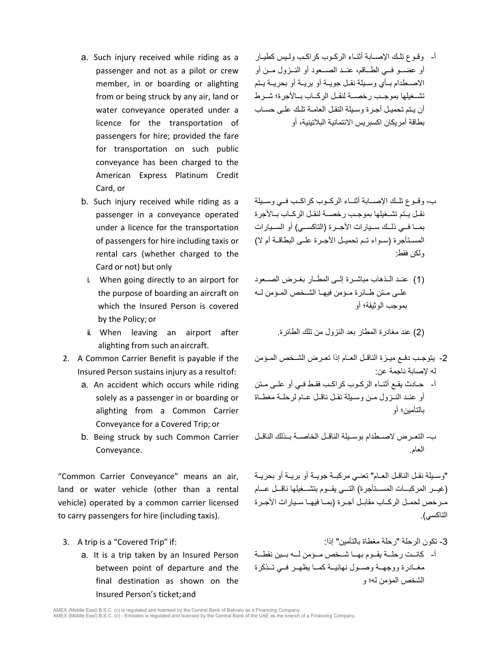- a. Such injury received while riding as a passenger and not as a pilot or crew member, in or boarding or alighting from or being struck by any air, land or water conveyance operated under a licence for the transportation of passengers for hire; provided the fare for transportation on such public conveyance has been charged to the American Express Platinum Credit Card, or
- b. Such injury received while riding as a passenger in a conveyance operated under a licence for the transportation of passengers for hire including taxis or rental cars (whether charged to the Card or not) but only
	- i. When going directly to an airport for the purpose of boarding an aircraft on which the Insured Person is covered by the Policy; or
	- ii. When leaving an airport after alighting from such anaircraft.
- 2. A Common Carrier Benefit is payable if the Insured Person sustains injury as a resultof:
	- a. An accident which occurs while riding solely as a passenger in or boarding or alighting from a Common Carrier Conveyance for a Covered Trip; or
	- b. Being struck by such Common Carrier Conveyance.

"Common Carrier Conveyance" means an air, land or water vehicle (other than a rental vehicle) operated by a common carrier licensed to carry passengers for hire (including taxis).

- - a. It is a trip taken by an Insured Person between point of departure and the final destination as shown on the Insured Person's ticket;and

أ- وقـوع تلـك الإصـابة أثنـاء الركـوب كراكـب ولـیس كطیـار أو عضــو فــي الطــاقم، عنــد الصــعود أو النــزول مــن أو الاصــطدام بــأي وســیلة نقــل جویــة أو بریــة أو بحریــة یــتم تشــغیلھا بموجــب رخصــة لنقــل الركــاب بــالأجرة؛ شــرط أن یـتم تحمیـل أجـرة وسـیلة النقـل العامـة تلـك علـى حسـاب بطاقة أمریكان اكسبریس الائتمانیة البلاتینیة، أو

- ب- وقــوع تلــك الإصــابة أثنــاء الركــوب كراكــب فــي وســیلة نقــل یــتم تشــغیلھا بموجــب رخصــة لنقــل الركــاب بــالأجرة بمــا فــي ذلــك ســيار ات الأجــر ة (التاكســي) أو الســيار ات المســتأجرة (ســواء تــم تحمیــل الأجــرة علــى البطاقــة أم لا) ولكن فقط:
- (1) عنــد الــذھاب مباشــرة إلــى المطــار بغــرض الصــعود علــى مــتن طــائرة مــؤمن فیھــا الشــخص المــؤمن لــھ بموجب الوثیقة؛ أو

(2) عند مغادرة المطار بعد النزول من تلك الطائرة.

- -2 یتوجــب دفــع میــزة الناقــل العــام إذا تعــرض الشــخص المــؤمن لھ لإصابة ناجمة عن:
- أ- حــادث یقــع أثنــاء الر كــوب كر اكــب فقـط فــي أو علــي مــتن أو عنــد النــزول مــن وســیلة نقــل ناقــل عــام لرحلــة مغطــاة بالتأمین؛ أو

ب- التعــرض لاصــطدام بوســیلة الناقــل الخاصــة بــذلك الناقــل العام.

"وســیلة نقــل الناقــل العــام" تعنــي مركبــة جویــة أو بریــة أو بحریــة (غیـــر المركبـــات المســـتأجرة) التـــي یقـــوم بتشـــغیلھا ناقـــل عـــام مــرخص لحمــل الركــاب مقابــل أجــرة (بمــا فیھــا ســیارات الأجــرة التاكسي).

3. A trip is a "Covered Trip" if: :إذا" بالتأمین مغطاة رحلة "الرحلة تكون -3 أ- كانــت رحلــة یقــوم بھــا شــخص مــؤمن لــھ بــین نقطــة مغــادرة ووجھــة وصــول نھائیــة كمــا یظھــر فــي تــذكرة الشخص المؤمن لھ؛ و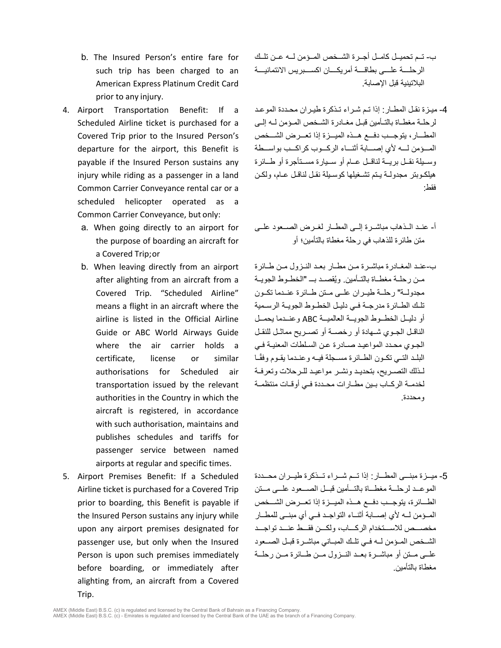- b. The Insured Person's entire fare for such trip has been charged to an American Express Platinum Credit Card prior to any injury.
- 4. Airport Transportation Benefit: If a Scheduled Airline ticket is purchased for a Covered Trip prior to the Insured Person's departure for the airport, this Benefit is payable if the Insured Person sustains any injury while riding as a passenger in a land Common Carrier Conveyance rental car or a scheduled helicopter operated as a Common Carrier Conveyance, but only:
	- a. When going directly to an airport for the purpose of boarding an aircraft for a Covered Trip;or
	- b. When leaving directly from an airport after alighting from an aircraft from a Covered Trip. "Scheduled Airline" means a flight in an aircraft where the airline is listed in the Official Airline Guide or ABC World Airways Guide where the air carrier holds a certificate, license or similar authorisations for Scheduled air transportation issued by the relevant authorities in the Country in which the aircraft is registered, in accordance with such authorisation, maintains and publishes schedules and tariffs for passenger service between named airports at regular and specific times.
- 5. Airport Premises Benefit: If a Scheduled Airline ticket is purchased for a Covered Trip prior to boarding, this Benefit is payable if the Insured Person sustains any injury while upon any airport premises designated for passenger use, but only when the Insured Person is upon such premises immediately before boarding, or immediately after alighting from, an aircraft from a Covered Trip.
- ب- تــم تحمیــل كامــل أجــرة الشــخص المــؤمن لــھ عــن تلــك الرحلــــة علــــى بطاقــــة أمریكــــان اكســــبریس الائتمانیــــة البلاتینیة قبل الإصابة.
- -4 میـزة نقـل المطـار: إذا تـم شـراء تـذكرة طیـران محـددة الموعـد لرحلـة مغطــاة بالتــأمین قبــل مغــادرة الشــخص المــؤمن لــھ إلــى المطـــار، یتوجـــب دفـــع ھـــذه المیـــزة إذا تعـــرض الشـــخص المـــؤمن لـــھ لأي إصـــابة أثنـــاء الركـــوب كراكـــب بواســـطة وســیلة نقــل بریــة لناقــل عــام أو ســیارة مســتأجرة أو طــائرة ھیلكـوبتر مجدولـة یـتم تشـغیلھا كوسـیلة نقـل لناقـل عـام، ولكـن فقط:
- أ- عنــد الــذھاب مباشــرة إلــى المطــار لغــرض الصــعود علــى متن طائرة للذھاب في رحلة مغطاة بالتأمین؛ أو
- ب-عنــد المغــادرة مباشــرة مــن مطــار بعــد النــزول مــن طــائرة مـن رحلــة مغطــاة بالتــأمين. ويُقصــد بـــ "الخطــوط الجويــة مجدولــة" رحلــة طیــران علــى مــتن طــائرة عنــدما تكــون تلــك الطــائرة مدرجــة فــي دلیــل الخطــوط الجویــة الرســ میة أو دلیــل الخطــوط الجویــة العالمیــة ABC وعنــدما یحمــل الناقــل الجــوي شــھادة أو رخصــة أو تصــریح مماثــل للنقــل الجـوي محـدد المواعیـد صـادرة عـن السـلطات المعنیـة فـي البلــد التــي تكــون الطــائر ة مســجلة فیــه و عنــدما یقــوم وفقًــا لــذلك التصــریح، بتحدیــد ونشــر مواعیــد للــرحلات وتعرفــة لخدمــة الركــاب بــین مطــارات محــددة فــي أوقــات منتظمــة ومحددة.

-5 میـــزة مبنـــى المطـــار: إذا تـــم شـــراء تـــذكرة طیـــران محـــددة الموعـــد لرحلـــة مغطـــاة بالتـــأمین قبـــل الصـــعود علـــى مـــتن الطـــائرة، یتوجـــب دفـــع ھـــذه المیـــزة إذا تعـــرض الشـــخص المــؤمن لــھ لأي إصــابة أثنــاء التواجــد فــي أي مبنــى للمطــار مخصـــص للاســـتخدام الركـــاب، ولكـــن فقـــط عنـــد تواجـــد الشــخص المــؤمن لــھ فــي تلــك المبــ اني مباشــرة قبــل الصــعود علــى مــتن أو مباشــرة بعــد النــزول مــن طــ ائرة مــن رحلــة مغطاة بالتأمین.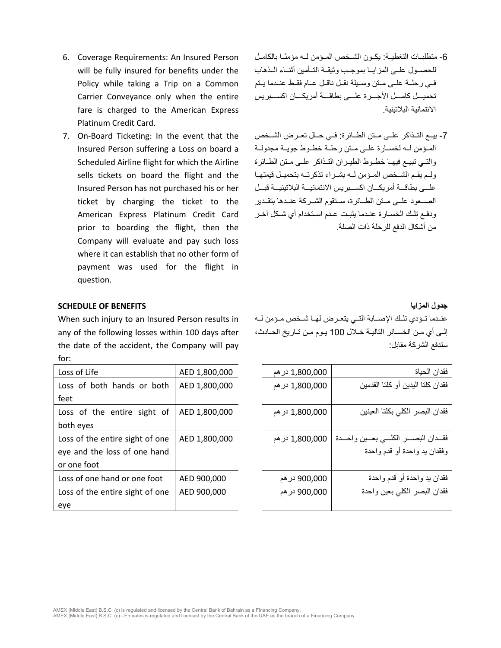- 6. Coverage Requirements: An Insured Person will be fully insured for benefits under the Policy while taking a Trip on a Common Carrier Conveyance only when the entire fare is charged to the American Express Platinum Credit Card.
- 7. On-Board Ticketing: In the event that the Insured Person suffering a Loss on board a Scheduled Airline flight for which the Airline sells tickets on board the flight and the Insured Person has not purchased his or her ticket by charging the ticket to the American Express Platinum Credit Card prior to boarding the flight, then the Company will evaluate and pay such loss where it can establish that no other form of payment was used for the flight in question.
- -6 متطلبــات التغطیــة: یكــون الشــخص المــؤم ً ن لــھ مؤمنــا بالكامــل للحصــول علــى المزایــا بموجــب وثیقــة التــأمین أثنــاء الــذھاب فــي رحلــة علــى مــتن وســیلة نقــل ناقــل عــام فقــط عنــدما یــتم تحمیـــل كامـــل الأجـــرة علـــى بطاقـــة أمریكـــان اكســـبریس الائتمانیة البلاتینیة.
- -7 بیــع التــذاكر علــى مــتن الطــائرة: فــي حــال تعــرض الشــخص المــؤمن لــھ لخســارة علــى مــتن رحلــة خطــوط جویــة مجدولــة والتــي تبیــع فیھــا خطــوط الطیــران التــذاكر علــى مــتن الطــائرة ولــم یقــم الشــخص المــؤمن لــھ بشــراء تذكرتــھ بتحمیــل قیمتھــا علـــى بطاقـــة أمریكـــان اكســـبریس الائتمانیـــة البلاتینیـــة قبـــل الصــ عود علــى مــتن الطــائرة، ســتقوم الشــركة عنــدھا بتقــدیر ودفـع تلـك الخسـارة عنـدما یثبـت عـدم اسـتخدام أي شـكل آخـر من أشكال الدفع للرحلة ذات الصلة.

### **SCHEDULE OF BENEFITS المزایا جدول**

When such injury to an Insured Person results in any of the following losses within 100 days after the date of the accident, the Company will pay for:

| Loss of Life                    | AED 1,800,000 |
|---------------------------------|---------------|
| Loss of both hands or both      | AED 1,800,000 |
| feet                            |               |
| Loss of the entire sight of     | AED 1,800,000 |
| both eves                       |               |
| Loss of the entire sight of one | AED 1,800,000 |
| eye and the loss of one hand    |               |
| or one foot                     |               |
| Loss of one hand or one foot    | AED 900,000   |
| Loss of the entire sight of one | AED 900,000   |
| eye                             |               |

عنــدما تــؤدي تلــك الإصــابة التــي یتعــرض لھــا شــخص مــؤمن لــھ إلـى أي مـن الخسـائر التالیـة خـلال 100 یـوم مـن تـاریخ الحـادث، ستدفع الشركة مقابل:

| Loss of Life                    | AED 1,800,000 | 1,800,000 در هم | فقدان الحياة                      |
|---------------------------------|---------------|-----------------|-----------------------------------|
| Loss of both hands or both      | AED 1,800,000 | 1,800,000 در هم | فقدان كلتا البدين أو كلتا القدمين |
| feet                            |               |                 |                                   |
| Loss of the entire sight of     | AED 1,800,000 | 1,800,000 در هم | فقدان البصر الكلى بكلتا العينين   |
| both eyes                       |               |                 |                                   |
| Loss of the entire sight of one | AED 1,800,000 | 1,800,000 در هم | فقسدان البصسر الكلسي بعسين واحسدة |
| eye and the loss of one hand    |               |                 | وفقدان يد واحدة أو قدم واحدة      |
| or one foot                     |               |                 |                                   |
| Loss of one hand or one foot    | AED 900,000   | 900,000 در هم   | فقدان يد واحدة أو قدم واحدة       |
| Loss of the entire sight of one | AED 900,000   | 900,000 در هم   | فقدان البصر الكلي بعين واحدة      |
| eye                             |               |                 |                                   |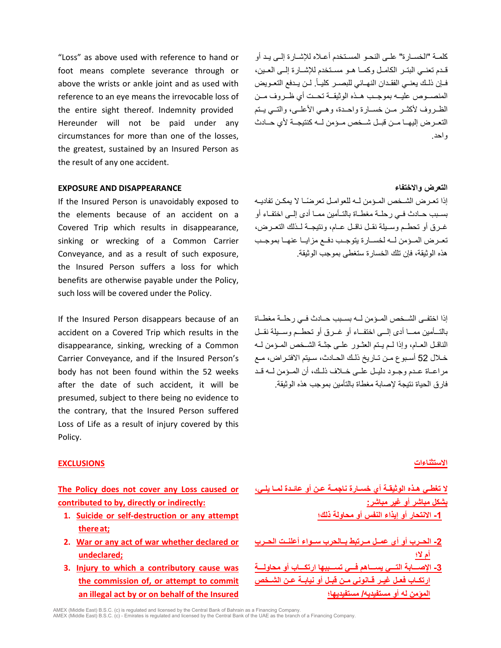"Loss" as above used with reference to hand or foot means complete severance through or above the wrists or ankle joint and as used with reference to an eye means the irrevocable loss of the entire sight thereof. Indemnity provided Hereunder will not be paid under any circumstances for more than one of the losses, the greatest, sustained by an Insured Person as the result of any one accident.

كلمــة "الخســارة" علــى النحــو المســتخدم أعــلاه للإشــارة إلــى یــد أو قــدم تعنــي البتــر الكامــل وكمــا ھــو مســتخدم للإشــارة إلــى العــین، فــإن ذلــك يعنــي الفقـدان النـهــائي للبصــر كليــأ. لــن يــدفع التعــويض المنصــوص علیــھ بموجــب ھــذه الوثیقــ ة تحــت أي ظــروف مــن الظــروف لأكثــر مــن خســارة واحــدة، وھــي الأعلــى، والتــي یــتم التعــرض إلیھــا مــن قبــل شــخص مــؤمن لــھ كنتیجــة لأي حــادث واحد.

### **EXPOSURE AND DISAPPEARANCE والاختفاء التعرض**

If the Insured Person is unavoidably exposed to the elements because of an accident on a Covered Trip which results in disappearance, sinking or wrecking of a Common Carrier Conveyance, and as a result of such exposure, the Insured Person suffers a loss for which benefits are otherwise payable under the Policy, such loss will be covered under the Policy.

If the Insured Person disappears because of an accident on a Covered Trip which results in the disappearance, sinking, wrecking of a Common Carrier Conveyance, and if the Insured Person's body has not been found within the 52 weeks after the date of such accident, it will be presumed, subject to there being no evidence to the contrary, that the Insured Person suffered Loss of Life as a result of injury covered by this Policy.

ً إذا تعــرض الشــخص المــؤمن لــھ للعوامــل تعرضــا لا یمكــن تفادیــھ بســبب حــادث فــي رحلــة مغطــاة بالتــأمین ممــا أدى إلــى اختفــاء أو غــرق أو تحطــم وســیلة نقــل ناقــل عــام، ونتیجــة لــذلك التعــرض، تعــرض المــؤمن لــھ لخســارة یتوجــب دفــع مزایــا عنھــا بموجــب ھذه الوثیقة، فإن تلك الخسارة ستغطى بموجب الوثیقة.

إذا اختفــى الشــخص المــؤمن لــھ بســبب حــادث فــي رحلــة مغطــاة بالتـــأمین ممـــا أدى إلـــى اختفـــاء أو غـــرق أو تحطـــم وســـیلة نقـــل الناقــل العــام، وإذا لــم یــتم العثــور علــى جثــة الشــخص المــؤمن لــھ خـلال 52 أسـبوع مـن تـاریخ ذلـك الحـادث، سـیتم الافتـراض، مـع مراعــاة عــدم وجــود دلیــل علــى خــلاف ذلــك، أن المــؤمن لــھ قــد فارق الحیاة نتیجة لإصابة مغطاة بالتأمین بموجب ھذه الوثیقة.

### **الاستثناءات EXCLUSIONS**

**The Policy does not cover any Loss caused or contributed to by, directly or indirectly:**

- **1. Suicide or self-destruction or any attempt thereat;**
- **2. War or any act of war whether declared or undeclared;**
- **3. Injury to which a contributory cause was the commission of, or attempt to commit an illegal act by or on behalf of the Insured**

| لا تغطـى هـذه الوثيقــة أي خســارة نـاجمــة عـن أو عائــدة لمــا يلــي، |
|-------------------------------------------------------------------------|
| بشكل مباشر أو غير مباشر <u>:</u>                                        |
| 1- الانتحار أو إيذاع النفس أو محاولة ذلك؛                               |

**-2 الحــرب أو أي عمــل مــرتبط بــالحرب ســواء أعلنــت الحــرب أم لا؛ -3 الإصـــابة التـــي یســـاھم فـــي تســـببھا ارتكـــاب أو محاولـــة ارتكــاب فعــل غیــر قــانوني مــن قبــل أو نیابــة عــن الشــخص المؤمن لھ أو مستفیدیھ/ مستفیدیھا؛**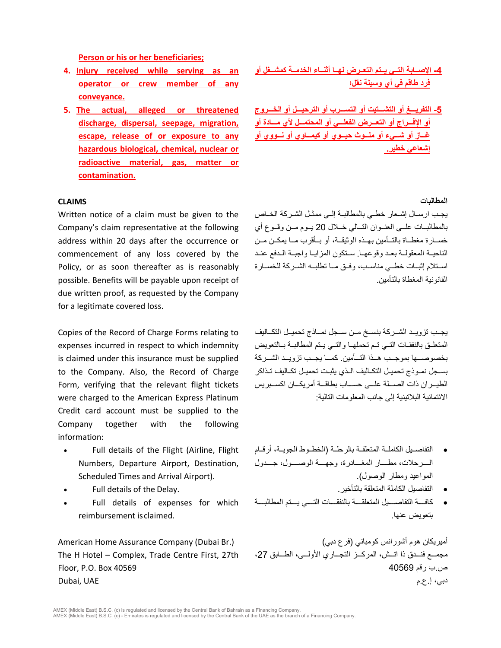**Person or his or her beneficiaries;**

- **4. Injury received while serving as an operator or crew member of any conveyance.**
- **5. The actual, alleged or threatened discharge, dispersal, seepage, migration, escape, release of or exposure to any hazardous biological, chemical, nuclear or radioactive material, gas, matter or contamination.**

### **المطالبات CLAIMS**

Written notice of a claim must be given to the Company's claim representative at the following address within 20 days after the occurrence or commencement of any loss covered by the Policy, or as soon thereafter as is reasonably possible. Benefits will be payable upon receipt of due written proof, as requested by the Company for a legitimate covered loss.

Copies of the Record of Charge Forms relating to expenses incurred in respect to which indemnity is claimed under this insurance must be supplied to the Company. Also, the Record of Charge Form, verifying that the relevant flight tickets were charged to the American Express Platinum Credit card account must be supplied to the Company together with the following information:

- Full details of the Flight (Airline, Flight Numbers, Departure Airport, Destination, Scheduled Times and Arrival Airport).
- 
- Full details of expenses for which reimbursement is claimed.

The H Hotel – Complex, Trade Centre First, 27th Floor, P.O. Box 40569

**-4 الإصــابة التــي یــتم التعــرض لھــا أثنــاء الخدمــة كمشــغل أو فرد طاقم في أي وسیلة نقل؛**

**-5 التفریـــغ أو التشـــتیت أو التســـرب أو الترحیـــل أو الخـــروج أو الإفـــراج أو التعـــرض الفعلـــي أو المحتمـــل لأي مـــادة أو غــاز أو شــيء أو ملــوث حیــوي أو كیمــاوي أو نــووي أو إشعاعي خطیر.** 

یجــب ارســال إشــعار خطــي بالمطالبــة إلــى ممثــل الشــركة الخــاص بالمطالبــات علــى العنــوان التــالي خــلال 20 یــوم مــن وقــوع أي خســارة مغطــاة بالتــأمین بھــذه الوثیقــة، أو بــأقرب مــا یمكــن مــن الناحیــة المعقولــة بعــد وقوعھــا. ســتكون المزایــا واجبــة الــدفع عنــد اســتلام إثبــات خطــي مناســب، وفــق مــا تطلبــھ الشــركة للخســارة القانونیة المغطاة بالتأمین.

یجــب تزویــد الشــركة بنســخ مــن ســجل نمــاذج تحمیــل التكــالیف المتعلــق بالنفقــات التــي تــم تحملھــا والتــي یــتم المطالبــة بــالتعویض بخصوصـــھا بموجـــب ھـــذا التـــأمین. كمـــا یجـــب تزویـــد الشـــركة بسـجل نمــوذج تحمیــل التكـالیف الــذي یثبــت تحمیـل تكــالیف تــذاكر الطیـــر ان ذات الصــــلة علـــى حســــاب بطاقـــة أمر یكـــان اكســـبر بس الائتمانیة البلاتینیة إلى جانب المعلومات التالیة:

- التفاصــیل الكاملــة المتعلقــة بالرحلــة (الخطــوط الجویــة، أرقــام الــــرحلات، مطــــار المغــــادرة، وجھــــة الوصــــول، جــــدول المواعید ومطار الوصول).
- Full details of the Delay. .بالتأخیر المتعلقة الكاملة التفاصیل•
	- كافــــة التفاصــــیل المتعلقــــة بالنفقــــات التــــي یــــتم المطالبــــة بتعویض عنھا.

أمیریكان ھوم أشورانس كومباني (فرع دبي) (.Br Dubai (Company Assurance Home American مجمـــع فنـــدق ذا اتـــش، المركـــز التجـــاري الأولـــى، الطـــابق ،27 ص.ب رقم 40569 دبي، إ.ع.م UAE ,Dubai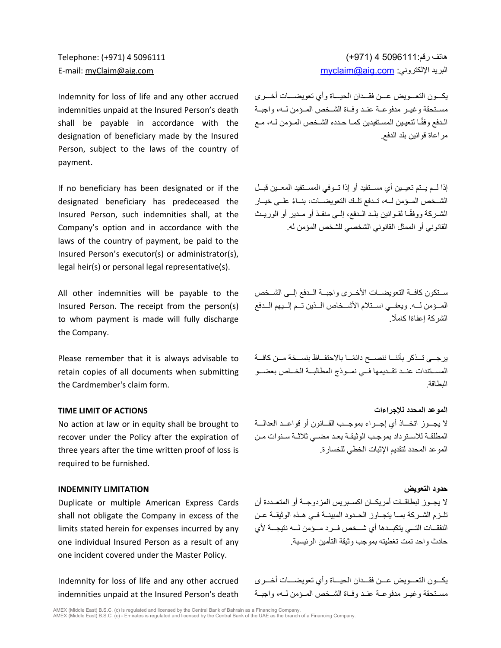Indemnity for loss of life and any other accrued indemnities unpaid at the Insured Person's death shall be payable in accordance with the designation of beneficiary made by the Insured Person, subject to the laws of the country of payment.

If no beneficiary has been designated or if the designated beneficiary has predeceased the Insured Person, such indemnities shall, at the Company's option and in accordance with the laws of the country of payment, be paid to the Insured Person's executor(s) or administrator(s), legal heir(s) or personal legal representative(s).

All other indemnities will be payable to the Insured Person. The receipt from the person(s) to whom payment is made will fully discharge the Company.

Please remember that it is always advisable to retain copies of all documents when submitting the Cardmember's claim form.

# **TIME LIMIT OF ACTIONS للإجراءات المحدد الموعد**

No action at law or in equity shall be brought to recover under the Policy after the expiration of three years after the time written proof of loss is required to be furnished.

Duplicate or multiple American Express Cards shall not obligate the Company in excess of the limits stated herein for expenses incurred by any one individual Insured Person as a result of any one incident covered under the Master Policy.

Indemnity for loss of life and any other accrued indemnities unpaid at the Insured Person's death

ھاتف رقم5096111: 4 (+971) 5096111 4 (+971) :Telephone E-mail: [myClaim@aig.com](mailto:myClaim@aig.com) [myclaim@aig.com](mailto:myclaim@aig.com) :الإلكتروني البرید

> یكـــون التعـــویض عـــن فقـــدان الحیـــاة وأي تعویضـــات أخـــرى مســتحقة وغیــر مدفوعــة عنــد وفــاة الشــخص المــؤمن لــھ، واجبــة الـدفع وفقًـا لتعیـین المسـتفیدین كمـا حـدده الشـخص المـؤمن لـه، مـع مراعاة قوانین بلد الدفع.

> إذا لــم یــتم تعیــین أي مســتفید أو إذا تــوفي المســتفید المعــین قبــل الشــخص المــؤمن لــه، تــدفع تلــك التعويضـــات، بنــاءً علــى خيــار الشــركة ووفقًــا لقــوانین بلــد الــدفع، إلــى منفــذ أو مــدیر أو الوریــث القانوني أو الممثل القانوني الشخصي للشخص المؤمن لھ.

> ســتكون كافــة التعویضــات الأخــرى واجبــة الــدفع إلــى الشــخص المــؤمن لــھ. ویعفــي اســتلام الأشــخاص الــذین تــم إلــیھم الــدفع الشر كة اعفاءًا كاملًا

> یرجـــى تـــذكر بأننـــا ننصـــح دائمـــ ً ا بالاحتفـــاظ بنســـخة مـــن كافـــة المســتندات عنــد تقــدیمھا فــي نمــوذج المطالبــة الخــاص بعضــو البطاقة.

# لا یجـــوز اتخـــاذ أي إجـــراء بموجـــب القـــانون أو قواعـــد العدالـــة المطلقـة للاسـترداد بموجـب الوثیقـة بعـد مضـي ثلاثـة سـنوات مــن الموعد المحدد لتقدیم الإثبات الخطي للخسارة.

**حدود التعویض LIMITATION INDEMNITY** لا یجــوز لبطاقــات أمریكــان اكســبریس المزدوجــة أو المتعــددة أن تلــزم الشــركة بمــا یتجــاوز الحــدود المبینــة فــي ھــذه الوثیقــة عــن النفقـــات التـــي یتكبـــدھا أي شـــخص فـــرد مـــؤمن لـــھ نتیجـــة لأي حادث واحد تمت تغطیتھ بموجب وثیقة التأمین الرئیسیة.

> یكـــون التعـــویض عـــن فقـــدان الحیـــاة وأي تعویضـــات أخـــرى مســتحقة وغیــر مدفوعــة عنــد وفــاة الشــخص المــؤمن لــھ، واجبــة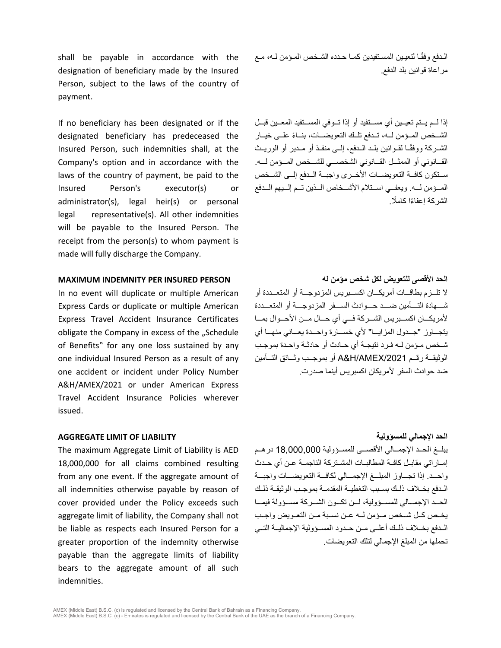shall be payable in accordance with the designation of beneficiary made by the Insured Person, subject to the laws of the country of payment.

If no beneficiary has been designated or if the designated beneficiary has predeceased the Insured Person, such indemnities shall, at the Company's option and in accordance with the laws of the country of payment, be paid to the Insured Person's executor(s) or administrator(s), legal heir(s) or personal legal representative(s). All other indemnities will be payable to the Insured Person. The receipt from the person(s) to whom payment is made will fully discharge the Company.

### **الحد الأقصى للتعویض لكل شخص مؤمن لھ PERSON INSURED PER INDEMNITY MAXIMUM**

In no event will duplicate or multiple American Express Cards or duplicate or multiple American Express Travel Accident Insurance Certificates obligate the Company in excess of the "Schedule of Benefits" for any one loss sustained by any one individual Insured Person as a result of any one accident or incident under Policy Number A&H/AMEX/2021 or under American Express Travel Accident Insurance Policies wherever issued.

### **AGGREGATE LIMIT OF LIABILITY للمسؤولیة الإجمالي الحد**

The maximum Aggregate Limit of Liability is AED 18,000,000 for all claims combined resulting from any one event. If the aggregate amount of all indemnities otherwise payable by reason of cover provided under the Policy exceeds such aggregate limit of liability, the Company shall not be liable as respects each Insured Person for a greater proportion of the indemnity otherwise payable than the aggregate limits of liability bears to the aggregate amount of all such indemnities.

الـدفع وفقـً ا لتعیـین المسـتفیدین كمـا حـدده الشـخص المـؤمن لـھ، مـع مراعاة قوانین بلد الدفع.

إذا لــم یــتم تعیــین أي مســتفید أو إذا تــوفي المســتفید المعــین قبــ ل ً الشــخص المــؤمن لــھ، تــدفع تلــك التعویضــات، بنــاء علــى خیــار الشــركة ووفقًــا لقــوانین بلــد الــدفع، إلــى منفــذ أو مــدیر أو الوریــث القـــانوني أو الممثـــل القـــانوني الشخصـــي للشـــخص المـــؤمن لـــھ. ســتكون كافــة التعویضــات الأخــرى واجبــ ة الــدفع إلــى الشــخص المــؤمن لــھ. ویعفــي اســتلام الأشــخاص الــذین تــم إلــیھم الــدفع الشر كة اعفاءًا كاملًا.

لا تلـــزم بطاقـــات أمریكـــان اكســـبریس المزدوجـــة أو المتعـــددة أو شـــھادة التـــأمین ضـــد حـــوادث الســـفر المزدوجـــة أو المتعـــددة لأمریكـــان اكســـبریس الشـــركة فـــي أي حـــال مـــن الأحـــوال بمـــا یتجـــاوز "جـــدول المزایـــ ا" لأي خســـارة واحـــدة یعـــاني منھـــا أي شـخص مـؤمن لـھ فـرد نتیجـة أي حـادث أو حادثـة واحـدة بموجـب الوثیقــة رقــم /2021AMEX/H&A أو بموجــب وثــائق التــأمین ضد حوادث السفر لأمریكان اكسبریس أینما صدرت.

یبلــغ الحــد الإجمــالي الأقصــى للمســؤولیة 18,000,000 درھــم إمــاراتي مقابــل كافــة المطالبــات المشــتركة الناجمــة عــن أي حــدث واحـــد. إذا تجـــاوز المبلـــغ الإجمـــالي لكافـــة التعویضـــات واجبـــة الــدفع بخــلاف ذلــك بســبب التغطیــة المقدمــة بموجــب الوثیقــة ذلــك الحـــد الإجمـــالي للمســـؤولیة، لـــن تكـــون الشـــركة مســـؤولة فیمـــا یخــص كــل شــخص مــؤمن لــھ عــن نســبة مــن التعــویض واجــب الــدفع بخــلاف ذلــك أعلــى مــن حــدود المســؤولیة الإجمالیــة التــي تحملھا من المبلغ الإجمالي لتلك التعویضات.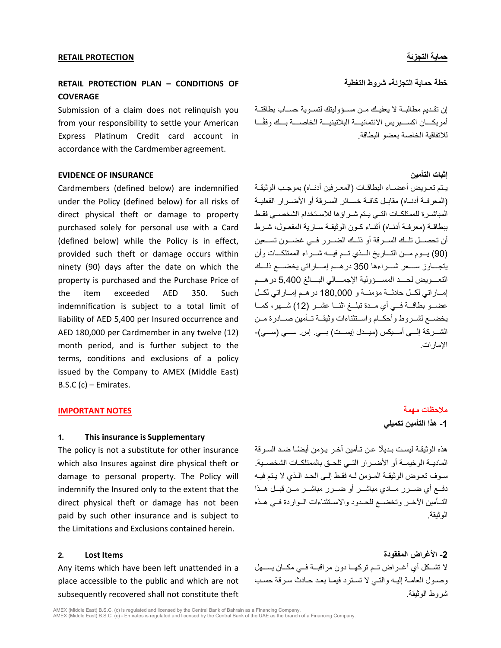# **RETAIL PROTECTION PLAN – CONDITIONS OF COVERAGE**

Submission of a claim does not relinquish you from your responsibility to settle your American Express Platinum Credit card account in accordance with the Cardmember agreement.

# **EVIDENCE OF INSURANCE التأمین إثبات**

Cardmembers (defined below) are indemnified under the Policy (defined below) for all risks of direct physical theft or damage to property purchased solely for personal use with a Card (defined below) while the Policy is in effect, provided such theft or damage occurs within ninety (90) days after the date on which the property is purchased and the Purchase Price of the item exceeded AED 350. Such indemnification is subject to a total limit of liability of AED 5,400 per Insured occurrence and AED 180,000 per Cardmember in any twelve (12) month period, and is further subject to the terms, conditions and exclusions of a policy issued by the Company to AMEX (Middle East) B.S.C (c) – Emirates.

# **ملاحظات مھمة NOTES IMPORTANT**

### **1. This insurance is Supplementary**

The policy is not a substitute for other insurance which also Insures against dire physical theft or damage to personal property. The Policy will indemnify the Insured only to the extent that the direct physical theft or damage has not been paid by such other insurance and is subject to the Limitations and Exclusions contained herein.

Any items which have been left unattended in a place accessible to the public and which are not subsequently recovered shall not constitute theft

### **خطة حمایة التجزئة- شروط التغطیة**

إن تقــدیم مطالبــة لا یعفیــك مــن مســؤولیتك لتســویة حســاب بطاقتــ ة أمر بكـــان اكســـبر يس الائتمانيـــة البلاتينيـــة الخاصــــة بـــك و فقًـــا للاتفاقیة الخاصة بعضو البطاقة.

یــتم تعــویض أعضــاء البطاقــات (المعــرفین أدنــاه) بموجــب الوثیقــة (المعرفــة أدنــاه) مقابــل كافــة خســائر الســرقة أو الأضــرار الفعلیــة المباشــرة للممتلكــات التــي یــتم شــراؤھا للاســتخدام الشخصــي فقــط ببطاقــة (معرفــة أدنــاه) أثنــاء كــون الوثیقــة ســاریة المفعــول، شــرط أن تحصــل تلــك الســرقة أو ذلــك الضــرر فــي غضــون تســـعین (90) یـــوم مـــن التـــاریخ الـــذي تـــم فیـــھ شـــراء الممتلكـــات وأن یتجـــاوز ســـعر شـــراءھا 350 درھـــم إمـــاراتي یخضـــع ذلـــك التعــــویض لحــــد المســــؤولیة الإجمــــالي البــــالغ 5,400 درھــــم إمــاراتي لكــل حادثــة مؤمنــة و 180,000 درھــم إمــ اراتي لكــل عضــو بطاقـــة فــي أي مـــدة تبلــغ اثنـــا عشــر (12) شـــھر، كمـــا یخضــع لشــروط وأحكــام واســتثناءات وثیقــة تــأمین صــادرة مــن الشـــركة إلـــى أمـــیكس (میـــدل إیســـت) بـــي. إس. ســـي (ســـي)- الإمارات.

# **-1 ھذا التأمین تكمیلي**

ً ھذه الوثیقـة لیسـت بـدیلا ً عـن تـأمین آخـر یـؤمن أیضـا ضـد السـرقة المادیــة الوخیمــة أو الأضــرار التــي تلحــق بالممتلكــات الشخصــیة. سـوف تعـوض الوثیقـة المـؤمن لـھ فقـط إلـى الحـد الـذي لا یـتم فیـھ دفــع أي ضــرر مــادي مباشــر أو ضــرر مباشــر مــن قبــل ھــذا التــأمین الآخــر وتخضــع للحــدود والاســتثناءات الــواردة فــي ھــذه الوثیقة.

**-2 الأغراض المفقودة Items Lost 2.** لا تشــكل أي أغــراض تــ م تركھــا دون مراقبــة فــي مكــان یســھل وصـول العامـة إلیـھ والتـي لا تسـترد فیمـا بعـد حـادث سـرقة حسـب شروط الوثیقة.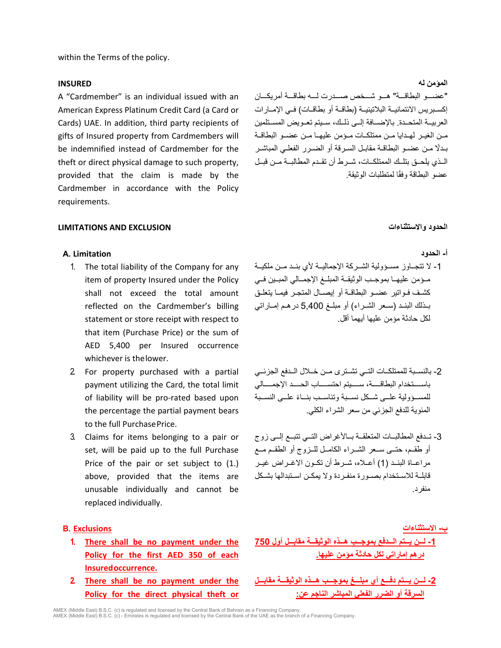within the Terms of the policy.

### **المؤمن لھ INSURED**

A "Cardmember" is an individual issued with an American Express Platinum Credit Card (a Card or Cards) UAE. In addition, third party recipients of gifts of Insured property from Cardmembers will be indemnified instead of Cardmember for the theft or direct physical damage to such property, provided that the claim is made by the Cardmember in accordance with the Policy requirements.

"عضـــو البطاقـــة" ھـــو شـــخص صـــدرت لـــھ بطاقـــة أمریكـــان إكســبریس الائتمانیــة البلاتینیــة (بطاقــة أو بطاقــات) فــي الإمــارات العربیــة المتحــدة. بالإضــافة إلــى ذلــك، ســیتم تعــویض المســتلمین مــن الغیــر لھــدایا مــن ممتلكــات مــؤمن علیھــا مــن عضــو البطاقــة بـدلًا مـن عضـو البطاقــة مقابـل السـر قة أو الضـر ر الفعلــي المباشـر الــذي یلحــق بتلــك الممتلكــات، شــرط أن تقــدم المطالبــة مــن قبــل عضو البطاقة وفقًا لمتطلبات الوثيقة.

### **LIMITATIONS AND EXCLUSION والاستثناءات الحدود**

### **أ- الحدود Limitation .A**

- 1. The total liability of the Company for any item of property Insured under the Policy shall not exceed the total amount reflected on the Cardmember's billing statement or store receipt with respect to that item (Purchase Price) or the sum of AED 5,400 per Insured occurrence whichever is thelower.
- 2. For property purchased with a partial payment utilizing the Card, the total limit of liability will be pro-rated based upon the percentage the partial payment bears to the full PurchasePrice.
- 3. Claims for items belonging to a pair or set, will be paid up to the full Purchase Price of the pair or set subject to  $(1)$ . above, provided that the items are unusable individually and cannot be replaced individually.

- **1. There shall be no payment under the Policy for the first AED 350 of each Insuredoccurrence.**
- **2. There shall be no payment under the Policy for the direct physical theft or**

- -1 لا تتجــاوز مســؤولیة الشــركة الإجمالیــة لأي بنــد مــن ملكیــة مــؤمن علیھــا بموجــب الوثیقــة المبلــغ الإجمــالي المبــین فــي كشــف فــواتیر عضــو البطاقــة أو إیصــال المتجــر فیمــا یتعلــق بــذلك البنــد (ســعر الشــراء) أو مبلــغ 5,400 درھــم إمــاراتي لكل حادثة مؤمن علیھا أیھما أقل.
- -2 بالنســبة للممتلكــات التــي تشــترى مــن خــلال الــدفع الجزئــي باســــتخدام البطاقــــة، ســــیتم احتســــاب الحــــد الإجمــــالي للمســؤولية علــى شــكل نســبة وتناســب بنــاءً علــى النســبة المئویة للدفع الجزئي من سعر الشراء الكلي.
- -3 تــدفع المطالبــات المتعلقــة بــالأغراض التــي تتبــع إلــى زوج أو طقــم، حتــى ســعر الشــراء الكامــل للــزوج أو الطقــم مــع مراعــاة البنــد (1) أعــلاه، شــرط أن تكــون الاغــراض غیــر قابلــة للاســتخدام بصــورة منفــردة ولا یمكــن اســتبدالھا بشــكل منفرد.

# **ب- الاستثناءات Exclusions .B**

- **-1 لـــن یـــتم الـــدفع بموجـــب ھـــذه الوثیقـــة مقابـــل أول 750 درھم إماراتي لكل حادثة مؤمن علیھا.**
- **-2 لـــن یـــتم دفـــع أي مبلـــغ بموجـــب ھـــذه الوثیقـــة مقابـــل السرقة أو الضرر الفعلي المباشر الناجم عن:**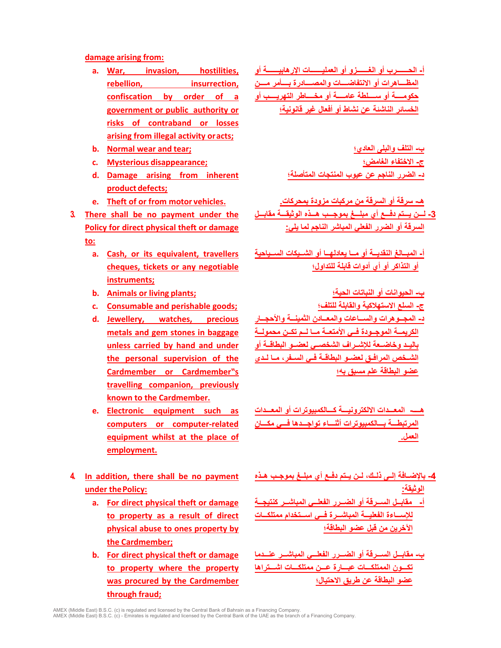### **damage arising from:**

- **a. War, invasion, hostilities, rebellion, insurrection, confiscation by order of a government or public authority or risks of contraband or losses arising from illegal activity oracts;**
- 
- 
- **d. Damage arising from inherent product defects;**
- 
- **3. There shall be no payment under the Policy for direct physical theft or damage to:**
	- **a. Cash, or its equivalent, travellers cheques, tickets or any negotiable instruments;**
	- **ب- الحیوانات أو النباتات الحیة؛ ;plants living or Animals .b**
	- **ج- السلع الاستھلاكیة والقابلة للتلف؛ ;goods perishable and Consumable .c**
	- **d. Jewellery, watches, precious metals and gem stones in baggage unless carried by hand and under the personal supervision of the Cardmember or Cardmember"s travelling companion, previously known to the Cardmember.**
	- **e. Electronic equipment such as computers or computer-related equipment whilst at the place of employment.**
- **4. In addition, there shall be no payment under thePolicy:**
	- **a. For direct physical theft or damage to property as a result of direct physical abuse to ones property by the Cardmember;**
	- **b. For direct physical theft or damage to property where the property was procured by the Cardmember through fraud;**

**أ- الحـــــــرب أو الغـــــــزو أو العملیـــــــات الإرھابیـــــــة أو المظــــاھرات أو الانتفاضــــات والمصــــادرة بــــأمر مــــن حكومــــة أو ســــلطة عامــــة أو مخــــاطر التھریــــب أو الخسائر الناشئة عن نشاط أو أفعال غیر قانونیة؛**

**b. Normal wear and tear; العادي؛ والبلى التلف -ب ج- الاختفاء الغامض؛ ;disappearance Mysterious .c د- الضرر الناجم عن عیوب المنتجات المتأصلة؛**

**ھـ- سرقة أو السرقة من مركبات مزودة بمحركات. .vehicles motor from or of Theft .e -3 لـــن یـــتم دفـــع أي مبلـــغ بموجـــب ھـــذه الوثیقـــة مقابـــل السرقة أو الضرر الفعلي المباشر الناجم لما یلي:**

> **أ- المبــالغ النقدیــة أو مــا یعادلھــا أو الشــیكات الســیاحیة أو التذاكر أو أي أدوات قابلة للتداول؛**

**د- المجــوھرات والســاعات والمعــادن الثمینــة والأحجــار الكریمــة الموجــودة فــي الأمتعــة مــا لــم تكــن محمولــة بالیــد وخاضــعة للإشــراف الشخصــي لعضــو البطاقــة أو الشــخص المرافــق لعضــو البطاقــة فــي الســفر، مــا لــدى عضو البطاقة علم مسبق بھ؛**

**ھــــ- المعـــدات الالكترونیـــة كـــالكمبیوترات أو المعـــدات المرتبطـــة بـــالكمبیوترات أثنـــاء تواجـــدھا فـــي مكـــان العمل.** 

- **-4 بالإضــافة إلــى ذلــك، لــن یــتم دفــع أي مبلــغ بموجــب ھــذه الوثیقة:**
- **أ- مقابــل الســرقة أو الضــرر الفعلــي المباشــر كنتیجــة للإســـاءة الفعلیـــة المباشـــرة فـــي اســـتخدام ممتلكـــات الآخرین من قبل عضو البطاقة؛**
- **ب- مقابـــل الســـرقة أو الضـــرر الفعلـــي المباشـــر عنـــدما تكـــون الممتلكـــات عبـــارة عـــن ممتلكـــات اشـــتراھا عضو البطاقة عن طریق الاحتیال؛**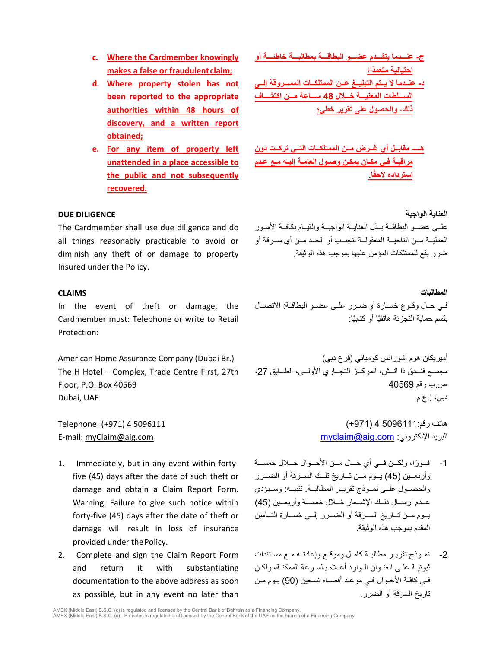- **c. Where the Cardmember knowingly makes a false or fraudulent claim;**
- **d. Where property stolen has not been reported to the appropriate authorities within 48 hours of discovery, and a written report obtained;**
- **e. For any item of property left unattended in a place accessible to the public and not subsequently recovered.**

# **العنایة الواجبة DILIGENCE DUE**

The Cardmember shall use due diligence and do all things reasonably practicable to avoid or diminish any theft of or damage to property Insured under the Policy.

In the event of theft or damage, the Cardmember must: Telephone or write to Retail Protection:

The H Hotel – Complex, Trade Centre First, 27th Floor, P.O. Box 40569

- 1. Immediately, but in any event within fortyfive (45) days after the date of such theft or damage and obtain a Claim Report Form. Warning: Failure to give such notice within forty-five (45) days after the date of theft or damage will result in loss of insurance provided under thePolicy.
- 2. Complete and sign the Claim Report Form and return it with substantiating documentation to the above address as soon as possible, but in any event no later than

**ج- عنـــدما یتقـــدم عضـــو البطاقـــة بمطالبـــة خاطئـــة أو اح ً تیالیة متعمدا؛ د- عنــدما لا یــتم التبلیــغ عــن الممتلكــات المســروقة إلــى الســـلطات المعنیـــة خـــلال 48 ســـاعة مـــن اكتشـــاف ذلك، والحصول على تقریر خطي؛**

**ھـــ- مقابــل أي غــرض مــن الممتلكــات التــي تركــت دون مراقبـة فـي مكـان یمكـن وصـول العامـة إلیـھ مـع عـدم ًا. استرداده لاحق**

علــى عضــو البطاقــة بــذل العنايــة الواجبــة والقيــام بكافــة الأمــور العملیــة مــن الناحیــة المعقولــة لتجنــب أو الحــد مــن أي ســرقة أو ضرر یقع للممتلكات المؤمن علیھا بموجب ھذه الوثیقة.

**المطالبات CLAIMS** فــي حــال وقــوع خســارة أو ضــرر علــى عضــو البطاقــة: الاتصــال بقسم حماية التجزئة هاتفيًا أو كتابيًا:

أميريكان هوم أشورانس كومباني (فرع دبي) (.American Home Assurance Company (Dubai Br مجمـــع فنـــدق ذا اتـــش، المركـــز التجـــاري الأولـــى، الطـــابق ،27 ص.ب رقم 40569 دبي، إ.ع.م UAE ,Dubai

ھاتف رقم5096111: 4 (+971) 5096111 4 (+971) :Telephone E-mail: [myClaim@aig.com](mailto:myClaim@aig.com) [myclaim@aig.com](mailto:myclaim@aig.com) :الإلكتروني البرید

- -1 ً فـــورا، ولكـــن فـــي أي حـــال مـــن الأحـــوال خـــلال خمســـة وأربعــین (45) یــوم مــن تــاریخ تلــك الســرقة أو الضــرر والحصــول علــى نمــوذج تقریــر المطالبــة. تنبیــھ: وســیؤدي عــدم ارســال ذلــك الإشــعار خــلال خمســة وأربعــین (45) یــوم مــن تــاریخ الســرقة أو الضــرر إلــى خســارة التــأمین المقدم بموجب ھذه الوثیقة.
- -2 نمــوذج تقریــر مطالبــة كامــل وموقــع وإعادتــھ مــع مســتندات ثبوتیـة علـى العنـوان الـوارد أعـلاه بالسـرعة الممكنـة، ولكـن فـي كافـة الأحـوال فـي موعـد أقصـاه تسـعین (90) یـوم مــن تاریخ السرقة أو الضرر.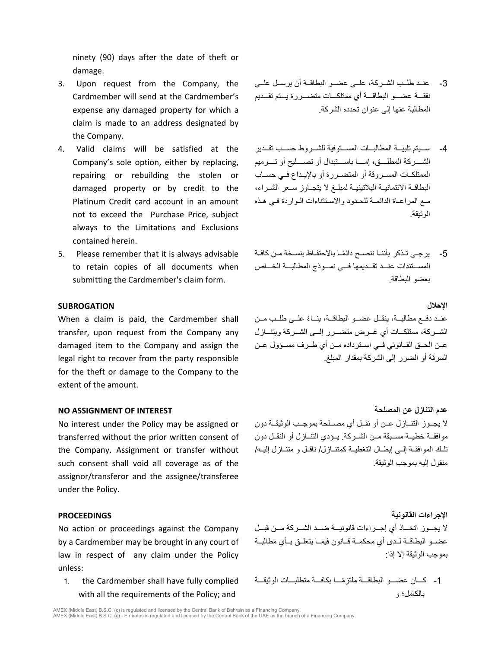ninety (90) days after the date of theft or damage.

- 3. Upon request from the Company, the Cardmember will send at the Cardmember's expense any damaged property for which a claim is made to an address designated by the Company.
- 4. Valid claims will be satisfied at the Company's sole option, either by replacing, repairing or rebuilding the stolen or damaged property or by credit to the Platinum Credit card account in an amount not to exceed the Purchase Price, subject always to the Limitations and Exclusions contained herein.
- 5. Please remember that it is always advisable to retain copies of all documents when submitting the Cardmember's claim form.

### **الإحلال SUBROGATION**

When a claim is paid, the Cardmember shall transfer, upon request from the Company any damaged item to the Company and assign the legal right to recover from the party responsible for the theft or damage to the Company to the extent of the amount.

No interest under the Policy may be assigned or transferred without the prior written consent of the Company. Assignment or transfer without such consent shall void all coverage as of the assignor/transferor and the assignee/transferee under the Policy.

No action or proceedings against the Company by a Cardmember may be brought in any court of law in respect of any claim under the Policy unless:

1. the Cardmember shall have fully complied with all the requirements of the Policy; and

- -3 عنــد طلــب الشــركة، علــى عضــو البطاقــة أن یرســل علــى نفقـــة عضـــو البطاقـــة أي ممتلكـــات متضـــررة یـــتم تقـــدیم المطالبة عنھا إلى عنوان تحدده الشركة.
- -4 ســـیتم تلبیـــة المطالبـــات المســـتوفیة للشـــروط حســـب تقـــدیر الشــــركة المطلــــق، إمــــا باســــتبدال أو تصــــلیح أو تــــرمیم الممتلكــات المســروقة أو المتضــررة أو بالإیــداع فــي حســاب البطاقــة الائتمانیــة البلاتینیــة لمبلــغ لا یتجــاوز ســعر الشــراء، مـع المراعـاة الدائمـة للحـدود والاسـتثناءات الـواردة فـي ھـذه الوثیقة.
- -5 ً یرجـى تــذكر بأننــا ننصــح دائمـا بالاحتفــاظ بنســخة مــن كافــة المســـتندات عنـــد تقـــدیمھا فـــي نمـــوذج المطالبـــة الخـــاص بعضو البطاقة.

عنــد دفــع مطـالبــة، ينقــل عضــو البطاقــة، بنــاءً علــى طلــب مــن الشـــركة، ممتلكـــات أي غـــرض متضـــرر إلـــى الشـــركة ویتنـــازل عــن الحــق القــانوني فــي اســترداده مــن أي طــرف مســؤول عــن السرقة أو الضرر إلى الشركة بمقدار المبلغ.

**عدم التنازل عن المصلحة INTEREST OF ASSIGNMENT NO** لا یجــوز التنــازل عــن أو نقــل أي مصــلحة بموجــب الوثیقــة دون موافقــة خطیــة مســبقة مــن الشــركة. یــؤدي التنــازل أو النقــل دون تلــك الموافقــة إلــى إبطــال التغطیــة كمتنــازل/ ناقــل و متنــازل إلیــھ/ منقول إلیھ بموجب الوثیقة.

**الإجراءات القانونیة PROCEEDINGS** لا یجـــوز اتخـــاذ أي إجـــراءات قانونیـــة ضـــد الشـــركة مـــن قبـــل عضــو البطاقــة لــدى أي محكمــة قــانون فیمــا یتعلــق بــأي مطالبــة بموجب الوثیقة إلا إذا:

> -1 ً كـــان عضـــو البطاقـــة ملتزمـــا بكافـــة متطلبـــات الوثیقـــة بالكامل؛ و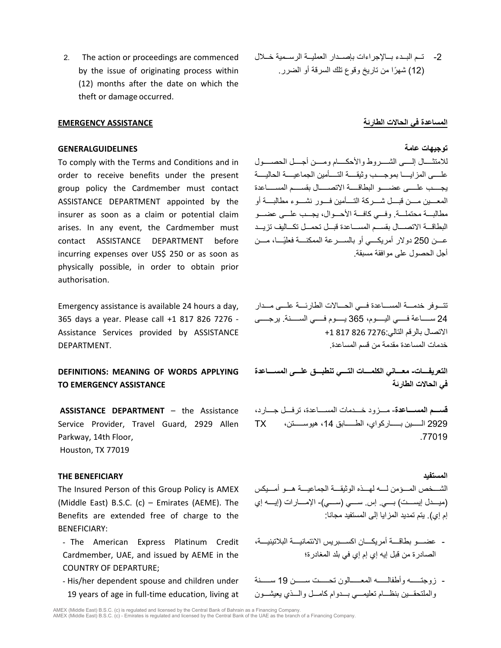2. The action or proceedings are commenced by the issue of originating process within (12) months after the date on which the theft or damage occurred.

## **توجیھات عامة GENERALGUIDELINES**

To comply with the Terms and Conditions and in order to receive benefits under the present group policy the Cardmember must contact ASSISTANCE DEPARTMENT appointed by the insurer as soon as a claim or potential claim arises. In any event, the Cardmember must contact ASSISTANCE DEPARTMENT before incurring expenses over US\$ 250 or as soon as physically possible, in order to obtain prior authorisation.

Emergency assistance is available 24 hours a day, 365 days a year. Please call +1 817 826 7276 - Assistance Services provided by ASSISTANCE DEPARTMENT.

# **DEFINITIONS: MEANING OF WORDS APPLYING TO EMERGENCY ASSISTANCE**

**ASSISTANCE DEPARTMENT** – the Assistance Service Provider, Travel Guard, 2929 Allen Parkway, 14th Floor, Houston, TX 77019

### **THE BENEFICIARY المستفید**

The Insured Person of this Group Policy is AMEX (Middle East) B.S.C. (c) – Emirates (AEME). The Benefits are extended free of charge to the BENEFICIARY:

- The American Express Platinum Credit Cardmember, UAE, and issued by AEME in the COUNTRY OF DEPARTURE;
- His/her dependent spouse and children under 19 years of age in full-time education, living at

-2 تــم البــدء بــالإجراءات بإصــدار العملیــة الرســمیة خــلال (12 ً ) شھرا من تاریخ وقوع تلك السرقة أو الضرر.

### **المساعدة في الحالات الطارئة ASSISTANCE EMERGENCY**

للامتثــــال إلــــى الشــــروط والأحكــــام ومــــن أجــــل الحصــــول علــــى المزایــــا بموجــــب وثیقــــة التــــأمین الجماعیــــة الحالیــــة یجـــــب علـــــى عضـــــ و البطاقـــــة الاتصـــــال بقســـــم المســـــاعدة المعــــین مــــن قبــــل شــــركة التــــأمین فــــور نشــــوء مطالبــــة أو مطالبـــة محتملـــة. وفـــي كافـــة الأحـــوال، یجـــب علـــى عضـــو البطاقـــة الاتصـــال بقســـم المســـاعدة قبـــل تحمـــل تكـــالیف تزیـــد عــــن 250 دولار أمريكــــي أو بالســــرعة الممكنــــة فعليًــــا، مــــن أجل الحصول على موافقة مسبقة.

تتـــ وفر خدمـــة المســـاعدة فـــي الحـــالات الطارئـــة علـــى مـــدار 24 ســـــاعة فـــــي الیـــــوم، 365 یـــــوم فـــــي الســـــنة. یرجـــــى الاتصال بالرقم التالي7276: 826 817 +1 خدمات المساعدة مقدمة من قسم المساعدة.

**التعریفــــات- معــــاني الكلمــــات التــــي تنطبــــق علــــى المســــاعدة في الحالات الطارئة**

**قســــم المســــاعدة**- مــــزود خــــدمات المســــاعدة، ترفــــل جــــارد، 2929 الـــــین بـــــاركواي، الطـــــابق ،14 ھیوســـــتن، TX .77019

الشـــخص المـــؤمن لـــھ لھـــذه الوثیقـــة الجماعیـــة ھـــو أمـــیكس (میــــدل إیســــت) بــــي. إس. ســــي (ســــي)- الإمــــارات (إیــــھ إي إم إي). یتم تمدید المزایا إلى المستفید مجانا:

- عضــــو بطاقــــة أمریكــــان اكســــبریس الائتمانیــــة البلاتینیــــة، الصادرة من قبل إیھ إي إم إي في بلد المغادرة؛
- زوجتــــــھ وأطفالــــــھ المعــــــالون تحــــــت ســــــن 19 ســــــنة والملتحقـــین بنظـــام تعلیمـــي بـــدوام كامـــل والـــذي یعیشـــون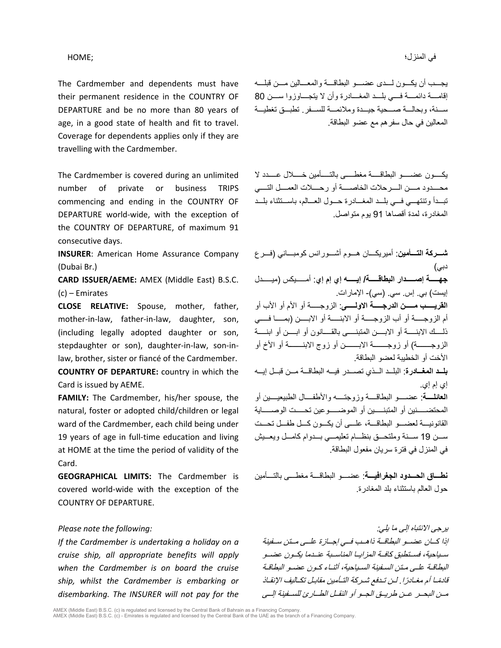# في المنزل؛ ;HOME

The Cardmember and dependents must have their permanent residence in the COUNTRY OF DEPARTURE and be no more than 80 years of age, in a good state of health and fit to travel. Coverage for dependents applies only if they are travelling with the Cardmember.

The Cardmember is covered during an unlimited number of private or business TRIPS commencing and ending in the COUNTRY OF DEPARTURE world-wide, with the exception of the COUNTRY OF DEPARTURE, of maximum 91 consecutive days.

**INSURER**: American Home Assurance Company (Dubai Br.)

**CARD ISSUER/AEME:** AMEX (Middle East) B.S.C. (c) – Emirates

**CLOSE RELATIVE:** Spouse, mother, father, mother-in-law, father-in-law, daughter, son, (including legally adopted daughter or son, stepdaughter or son), daughter-in-law, son-inlaw, brother, sister or fiancé of the Cardmember.

**COUNTRY OF DEPARTURE:** country in which the Card is issued by AEME.

**FAMILY:** The Cardmember, his/her spouse, the natural, foster or adopted child/children or legal ward of the Cardmember, each child being under 19 years of age in full-time education and living at HOME at the time the period of validity of the Card.

**GEOGRAPHICAL LIMITS:** The Cardmember is covered world-wide with the exception of the COUNTRY OF DEPARTURE.

*If the Cardmember is undertaking a holiday on a cruise ship, all appropriate benefits will apply when the Cardmember is on board the cruise ship, whilst the Cardmember is embarking or disembarking. The INSURER will not pay for the* 

یجـــب أن یكـــون لـــدى عضـــو البطاقـــة والمعـــالین مـــن قبلـــھ إقامــــة دائمــــة فــــي بلــــد المغــــادرة وأن لا یتجــــاوزوا ســــن 80 ســـنة، وبحالـــة صـــحیة جیـــدة وملائمـــة للســـفر. تطبـــق تغطیـــة المعالین في حال سفرھم مع عضو البطاقة.

یكـــــون عضـــــو البطاقـــــة مغطـــــى بالتـــــأمین خـــــلال عـــــدد لا محــــدود مــــن الــــرحلات الخاصــــة أو رحــــلات العمــــل التــــي تبـــدأ وتنتھـــي فـــي بلـــد المغـــادرة حـــول العـــالم، باســـتثناء بلـــد المغادرة، لمدة أقصاھا 91 یوم متواصل.

**شـــركة التـــأمین**: أمیریكـــان ھـــوم أشـــورانس كومبـــاني (فـــرع دبي) **جھـــــة إصـــــدار البطاقـــــة/ إیـــــھ إي إم إي**: أمـــــیكس (میـــــدل إیست) بي. إس. سي. (سي)- الإمارات. **القریـــــب مـــــن الدرجـــــة الاولـــــى**: الزوجـــــة أو الأم أو الأب أو أم الزوجـــــة أو أب الزوجـــــة أو الابنـــــة أو الابـــــن (بمـــــا فـــــي ذلــــك الابنــــة أو الابــــن المتبنــــى بالقــــانون أو ابــــن أو ابنــــة الزوجـــــــة) أو زوجـــــــة الابـــــــن أو زوج الابنـــــــة أو الأخ أو الأخت أو الخطیبة لعضو البطاقة. **بلـــد المغـــادرة**: البلـــد الـــذي تصـــدر فیـــھ البطاقـــة مـــن قبـــل إیـــھ إي إم إي. **العائلــــة**: عضــــو البطاقــــة وزوجتــــھ والأطفــــال الطبیعیــــین أو المحتضـــــنین أو المتبنـــــین أو الموضـــــوعین تحـــــت الوصـــــایة القانونیـــة لعضـــو البطاقـــة، علـــى أن یكـــون كـــل طفـــل تحـــت ســـن 19 ســـنة وملتحـــق بنظـــام تعلیمـــي بـــدوام كامـــل ویعـــیش في المنزل في فترة سریان مفعول البطاقة.

**نطـــاق الحـــدود الجغرافیـــة**: عضـــو البطاقـــة مغطـــى بالتـــأمین حول العالم باستثناء بلد المغادرة.

یرجى الانتباه إلى ما یلي: *:following the note Please* إذا كــان عضــو البطاقــة ذاھــب فــي إجــازة علــى مــتن ســفینة ســیاحیة، فســتطبق كافــة المزایــا المناســبة عنــدما یكــون عضــو البطاقـة علـى مـتن السـفینة السـیاحیة، أثنـاء كـون عضـو البطاقـة قادمًــا أم مغـادرًا . لـن تـدفع شـركة التـأمین مقابـل تكـالیف الإنقــاذ مــن البحــر عــن طریــق الجــو أو النقــل الطــارئ للســفینة إلــى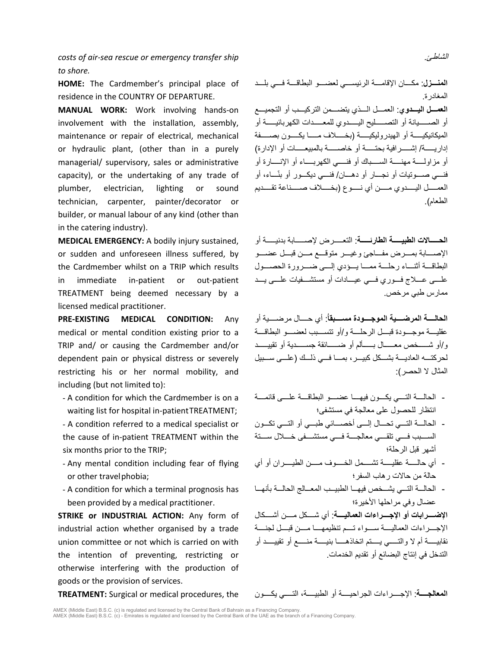*costs of air-sea rescue or emergency transfer ship to shore.*

**HOME:** The Cardmember's principal place of residence in the COUNTRY OF DEPARTURE.

**MANUAL WORK:** Work involving hands-on involvement with the installation, assembly, maintenance or repair of electrical, mechanical or hydraulic plant, (other than in a purely managerial/ supervisory, sales or administrative capacity), or the undertaking of any trade of plumber, electrician, lighting or sound technician, carpenter, painter/decorator or builder, or manual labour of any kind (other than in the catering industry).

**MEDICAL EMERGENCY:** A bodily injury sustained, or sudden and unforeseen illness suffered, by the Cardmember whilst on a TRIP which results in immediate in-patient or out-patient TREATMENT being deemed necessary by a licensed medical practitioner.

**PRE-EXISTING MEDICAL CONDITION:** Any medical or mental condition existing prior to a TRIP and/ or causing the Cardmember and/or dependent pain or physical distress or severely restricting his or her normal mobility, and including (but not limited to):

- A condition for which the Cardmember is on a waiting list for hospital in-patientTREATMENT:
- A condition referred to a medical specialist or the cause of in-patient TREATMENT within the six months prior to the TRIP;
- Any mental condition including fear of flying or other travelphobia;
- A condition for which a terminal prognosis has been provided by a medical practitioner.

**STRIKE or INDUSTRIAL ACTION:** Any form of industrial action whether organised by a trade union committee or not which is carried on with the intention of preventing, restricting or otherwise interfering with the production of goods or the provision of services.

**المنـــزل**: مكــــان الإقامــــة الرئیســــي لعضــــو البطاقــــة فــــي بلــــد المغادرة. **العمـــل الیـــدوي**: العمـــل الـــذي یتضـــمن التركیـــب أو التجمیـــع أو الصـــــیانة أو التصـــــلیح الیـــــدوي للمعـــــدات الكھربائیـــــة أو المیكانیكیـــــة أو الھیدرولیكیـــــة (بخـــــلاف مـــــا یكـــــون بصـــــفة إداریـــــة/ إشـــــرافیة بحتـــــة أو خاصـــــة بالمبیعـــــات أو الإدارة) أو مزاولــــة مھنــــة الســــباك أو فنــــي الكھربــــاء أو الإنــــارة أو ّ فنـــي صـــوتیات أو نجـــار أو دھـــان/ فنـــي دیكـــور أو بنـــاء، أو

**الحـــــالات الطبیـــــة الطارئـــــة**: التعـــــرض لإصـــــابة بدنیـــــة أو الإصــــابة بمــــرض مفــــاجئ وغیــــر متوقــــع مــــن قبــــل عضــــو البطاقـــة أثنــــاء رحلــــة ممــــا یــــؤدي إلــــى ضــــرورة الحصــــول علــــى عــــلاج فــــوري فــــي عیــــادات أو مستشــــفیات علــــى یــــد ممارس طبي مرخص.

العمـــــل الیـــــدوي مـــــن أي نـــــوع (بخـــــلاف صـــــناعة تقـــــدیم

**الحالــــة المرضــــیة الموجــــودة مســــبقا**:**ُ** أي حــــال مرضــــیة أو عقلیــــة موجــــودة قبــــل الرحلــــة و/أو تتســــبب لعضــــو البطاقــــة و/أو شـــــخص معـــــال بـــــألم أو ضـــــائقة جســـــدیة أو تقییـــــد لحركتـــھ العادیـــة بشـــكل كبیـــر، بمـــا فـــي ذلـــك (علـــى ســـبیل المثال لا الحصر):

- الحالــــة التــــي یكــــون فیھــــا عضــــو البطاقــــة علــــى قائمــــة انتظار للحصول على معالجة في مستشفى؛
- الحالـــة التـــي تحـــال إلـــى أخصـــائي طبـــي أو التـــي تكـــون الســــبب فــــي تلقــــي معالجــــة فــــي مستشــــفى خــــلال ســــتة أشھر قبل الرحلة؛
- أي حالـــــة عقلیـــــة تشـــــمل الخـــــوف مـــــن الطیـــــران أو أي حالة من حالات رھاب السفر؛
- الحالـــة التـــي یشـــخص فیھـــا الطبیـــب المعـــالج الحالـــة بأنھـــا عضال وفي مراحلھا الأخیرة؛

**الإضــــرابات أو الإجــــراءات العمالیــــة**: أي شــــكل مــــن أشــــكال الإجــــراءات العمالیــــة ســــواء تــــم تنظیمھــــا مــــن قبــــل لجنــــة نقابیـــــة أم لا والتـــــي یـــــتم اتخاذھـــــا بنیـــــة منـــــع أو تقییـــــد أو التدخل في إنتاج البضائع أو تقدیم الخدمات.

المعالجــــة: الإجــــراءات الجراحيــــة أو الطبيــــة، التــــي يكــــون **TREATMENT:** Surgical or medical procedures, the

AMEX (Middle East) B.S.C. (c) is regulated and licensed by the Central Bank of Bahrain as a Financing Company.<br>AMEX (Middle East) B.S.C. (c) - Emirates is regulated and licensed by the Central Bank of the UAE as the branch

الشاطئ.

الطعام).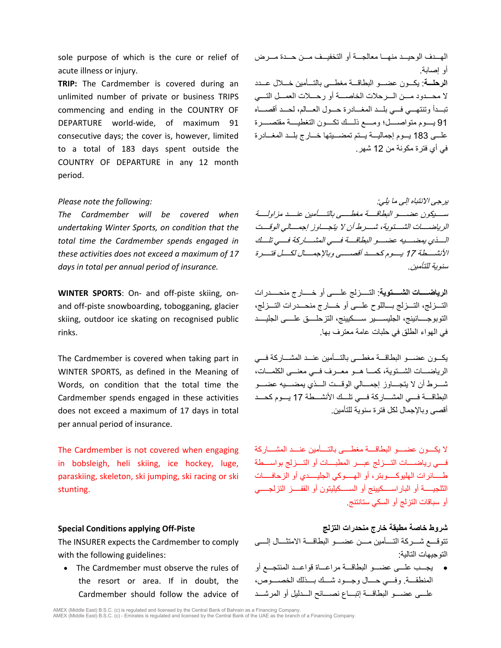sole purpose of which is the cure or relief of acute illness or injury.

**TRIP:** The Cardmember is covered during an unlimited number of private or business TRIPS commencing and ending in the COUNTRY OF DEPARTURE world-wide, of maximum 91 consecutive days; the cover is, however, limited to a total of 183 days spent outside the COUNTRY OF DEPARTURE in any 12 month period.

*The Cardmember will be covered when undertaking Winter Sports, on condition that the total time the Cardmember spends engaged in these activities does not exceed a maximum of 17 days in total per annual period of insurance.*

**WINTER SPORTS**: On- and off-piste skiing, onand off-piste snowboarding, tobogganing, glacier skiing, outdoor ice skating on recognised public rinks.

The Cardmember is covered when taking part in WINTER SPORTS, as defined in the Meaning of Words, on condition that the total time the Cardmember spends engaged in these activities does not exceed a maximum of 17 days in total per annual period of insurance.

The Cardmember is not covered when engaging in bobsleigh, heli skiing, ice hockey, luge, paraskiing, skeleton, ski jumping, ski racing or ski stunting.

The INSURER expects the Cardmember to comply with the following guidelines:

• The Cardmember must observe the rules of the resort or area. If in doubt, the Cardmember should follow the advice of

الھـــدف الوحیـــد منھـــا معالجـــة أو التخفیـــف مـــن حـــدة مـــرض أو إصابة. **الرحلـــة**: یكـــون عضـــو البطاقـــة مغطـــى بالتـــأمین خـــلال عـــدد لا محـــدود مـــن الـــرحلات الخاصـــة أو رحـــلات العمـــل التـــي تبـــدأ وتنتھـــي فـــي بلـــد المغـــادرة حـــول العـــالم، لحـــد أقصـــاه 91 یــــوم متواصــــل؛ ومــــع ذلــــك تكــــون التغطیــــة مقتصــــرة علـــى 183 يـــوم إجماليـــة يـــتم تمضـــيتها خـــارج بلـــد المغـــادرة في أي فترة مكونة من 12 شھر.

یرجى الانتباه إلى ما یلي: *:following the note Please* ســــیكون عضــــو البطاقـــــة مغطــــى بالتـــــأمین عنــــد مزاولـــــة الریاضــــات الشــــتویة، شــــرط أن لا یتجــــاوز إجمــــالي الوقــــت الــــذي یمضــــیھ عضــــو البطاقــــة فــــي المشــــاركة فــــي تلــــك الأنشــــطة <sup>17</sup> یــــوم كحــــد أقصــــى وبالإجمــــال لكــــل فتــــرة سنویة للتأمین.

> **الریاضـــــات الشـــــتویة**: التـــــزلج علـــــى أو خـــــارج منحـــــدرات التـــزلج، التـــزلج بـــاللوح علـــى أو خـــارج منحـــدرات التـــزلج، التوبوجــــانینج، الجلیســــیر ســــكیینج، التزحلــــق علــــى الجلیــــد في الھواء الطلق في حلبات عامة معترف بھا.

> یكـــون عضـــو البطاقـــة مغطـــى بالتـــأمین عنـــد المشـــاركة فـــي الریاضـــات الشـــتویة، كمـــا ھـــو معـــرف فـــي معنـــى الكلمـــات، شــــرط أن لا یتجــــاوز إجمــــالي الوقــــت الــــذي یمضــــیھ عضــــو البطاقــــة فــــي المشــــاركة فــــي تلــــك الأنشــــطة 17 یــــوم كحــــد أقصى وبالإجمال لكل فترة سنویة للتأمین.

> لا یكــــون عضــــو البطاقــــة مغطــــى بالتــــأمین عنــــد المشــــاركة فــــي ریاضــــات التــــزلج عبــــر المطبــــات أو التــــزلج بواســــطة طـــــائرات الھلیوكـــــوبتر، أو الھـــــوكي الجلیـــــدي أو الزحافـــــ ات الثلجیـــــة أو الباراســـــكیینج أو الســـــكیلیتون أو القفـــــز التزلجـــــي أو سباقات التزلج أو السكي ستانتنج.

**شروط خاصة مطبقة خارج منحدرات التزلج Piste-Off applying Conditions Special** تتوقــــع شــــ ركة التــــأمین مــــن عضــــو البطاقــــة الامتثــــال إلــــى التوجیھات التالیة:

> • یجـــب علـــى عضـــو البطاقـــة مراعـــاة قواعـــد المنتجـــع أو المنطقـــة. وفـــي حـــال وجـــود شـــك بـــذلك الخصـــوص، علـــى عضـــو البطاقـــة إتبـــاع نصـــائح الـــدلیل أو المرشـــد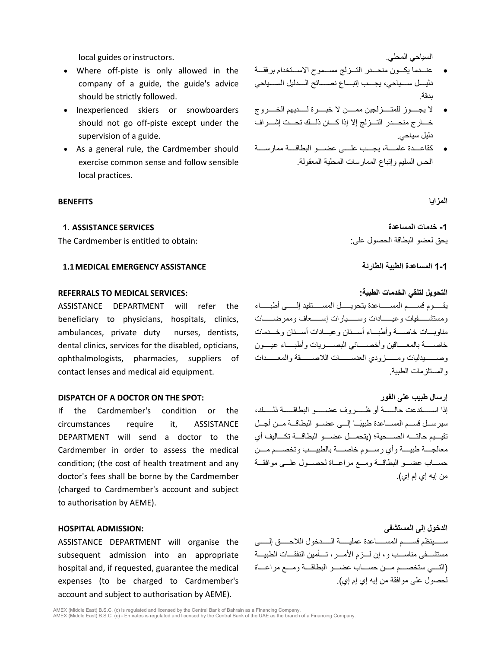local guides orinstructors. .المحلي السیاحي

- Where off-piste is only allowed in the company of a guide, the guide's advice should be strictly followed.
- Inexperienced skiers or snowboarders should not go off-piste except under the supervision of a guide.
- As a general rule, the Cardmember should exercise common sense and follow sensible local practices.

### **المزایا BENEFITS**

The Cardmember is entitled to obtain: :على الحصول البطاقة لعضو یحق

### **1-1 المساعدة الطبیة الطارئة ASSISTANCE EMERGENCY MEDICAL1.1**

### **التحویل لتلقي الخدمات الطبیة: :SERVICES MEDICAL TO REFERRALS**

ASSISTANCE DEPARTMENT will refer the beneficiary to physicians, hospitals, clinics, ambulances, private duty nurses, dentists, dental clinics, services for the disabled, opticians, ophthalmologists, pharmacies, suppliers of contact lenses and medical aid equipment.

If the Cardmember's condition or the circumstances require it, ASSISTANCE DEPARTMENT will send a doctor to the Cardmember in order to assess the medical condition; (the cost of health treatment and any doctor's fees shall be borne by the Cardmember (charged to Cardmember's account and subject to authorisation by AEME).

ASSISTANCE DEPARTMENT will organise the subsequent admission into an appropriate hospital and, if requested, guarantee the medical expenses (to be charged to Cardmember's account and subject to authorisation by AEME).

- عنـــدما یكـــون منحـــدر التـــزلج مســـموح الاســـتخدام برفقـــة دلیــــل ســــیاحي، یجــــب إتبــــاع نصــــائح الــــدلیل الســــیاحي بدقة.
- لا یجــــوز للمتــــزلجین ممــــن لا خبــــرة لــــدیھم الخــــروج خـــارج منحـــدر التـــزلج إلا إذا كـــان ذلـــك تحـــت إشـــراف دلیل سیاحي.
- كقاعــــدة عامــــة، یجــــب علــــى عضــــو البطاقــــة ممارســــة الحس السلیم وإتباع الممارسات المحلیة المعقولة.

**-1 خدمات المساعدة SERVICES ASSISTANCE 1.**

یقـــــوم قســـــم المســـــاعدة بتحویـــــل المســـــتفید إلـــــ ى أطبـــــاء ومستشــــــفیات وعیــــــادات وســــــیارات إســــــعاف وممرضــــــات مناوبـــات خاصـــة وأطبـــاء أســـنان وعیـــادات أســـنان وخـــدمات خاصــــة بالمعــــاقین وأخصــــائي البصــــریات وأطبــــاء عیــــون وصــــــیدلیات ومــــــزودي العدســــــات اللاصــــــقة والمعــــــ دات والمستلزمات الطبیة.

**DISPATCH OF A DOCTOR ON THE SPOT: الفور على طبیب إرسال** إذا اســـــتدعت حالـــــة أو ظـــــروف عضـــــو البطاقـــــة ذلـــــك، ً سیرســـل قســـم المســـاعدة طبیبـــا إلـــى عضـــو البطاقـــة مـــن أجـــل تقیـــیم حالتـــھ الصـــ حیة؛ (یتحمـــل عضـــو البطاقـــة تكـــالیف أي معالجــــة طبیــــة وأي رســــوم خاصــــة بالطبیــــب وتخصــــ م مــــن حســـاب عضـــو البطاقـــة ومـــع مراعـــاة لحصـــول علـــى موافقـــ ة من إیھ إي إم إي).

**الدخول إلى المستشفى :ADMISSION HOSPITAL** ســـــینظم قســـــم المســـــاعدة عملیـــــة الـــــدخول اللاحـــــق إلـــــى مستشـــفى مناســـب و، إن لـــزم الأمـــر، تـــأمین النفقـــات الطبیـــة (التـــي ستخصـــم مـــ ن حســـاب عضـــو البطاقـــة ومـــع مراعـــاة لحصول على موافقة من إیھ إي إم إي).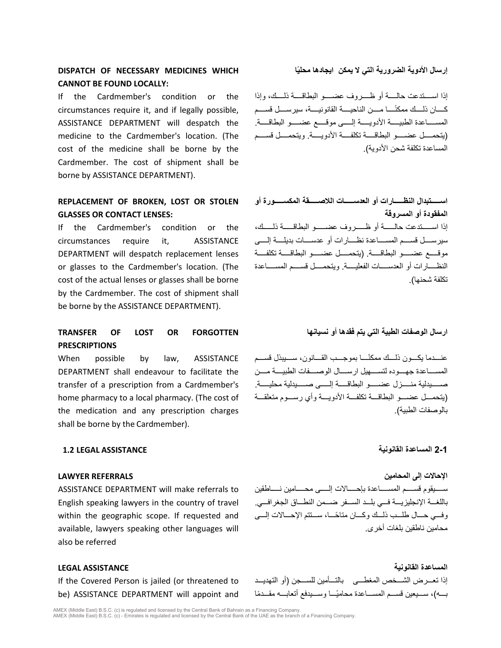# **DISPATCH OF NECESSARY MEDICINES WHICH CANNOT BE FOUND LOCALLY:**

If the Cardmember's condition or the circumstances require it, and if legally possible, ASSISTANCE DEPARTMENT will despatch the medicine to the Cardmember's location. (The cost of the medicine shall be borne by the Cardmember. The cost of shipment shall be borne by ASSISTANCE DEPARTMENT).

# **REPLACEMENT OF BROKEN, LOST OR STOLEN GLASSES OR CONTACT LENSES:**

If the Cardmember's condition or the circumstances require it, ASSISTANCE DEPARTMENT will despatch replacement lenses or glasses to the Cardmember's location. (The cost of the actual lenses or glasses shall be borne by the Cardmember. The cost of shipment shall be borne by the ASSISTANCE DEPARTMENT).

# **TRANSFER OF LOST OR FORGOTTEN PRESCRIPTIONS**

When possible by law, ASSISTANCE DEPARTMENT shall endeavour to facilitate the transfer of a prescription from a Cardmember's home pharmacy to a local pharmacy. (The cost of the medication and any prescription charges shall be borne by the Cardmember).

### **2-1 المساعدة القانونیة ASSISTANCE LEGAL 1.2**

### **الإحالات إلى المحامین REFERRALS LAWYER**

ASSISTANCE DEPARTMENT will make referrals to English speaking lawyers in the country of travel within the geographic scope. If requested and available, lawyers speaking other languages will also be referred

If the Covered Person is jailed (or threatened to be) ASSISTANCE DEPARTMENT will appoint and

# **ًا إرسال الأدویة الضروریة التي لا یمكن ایجادھا محلی**

إذا اســــتدعت حالــــة أو ظــــروف عضــــو البطاقــــة ذلــــك، وإذا ً كــــان ذلــــك ممكنــــا مــــن الناحیــــة القانونیــــة، سیرســــل قســــم المســـــاعدة الطبیـــــة الأدویـــــة إلـــــى موقـــــع عضـــــو البطاقـــــة. (یتحمــــل عضــــو البطاقــــة تكلفــــة الأدویــــة. ویتحمــــل قســــم المساعدة تكلفة شحن الأدویة).

**اســـــتبدال النظـــــارات أو العدســـــات اللاصـــــقة المكســـــورة أو المفقودة أو المسروقة** إذا اســـــتدعت حالـــــة أو ظـــــروف عضـــــو البطاقـــــة ذلـــــك، سیرســــل قســــم المســــاعدة نظــــارات أو عدســــات بدیلــــة إلــــى موقـــــع عضـــــو البطاقـــــة. (یتحمـــــل عضـــــو البطاقـــــة تكلفـــــة النظــــارات أو العدســــات الفعلیــــة. ویتحمــــل قســــم المســــاعدة تكلفة شحنھا).

### **ارسال الوصفات الطبیة التي یتم فقدھا أو نسیانھا**

ً عنــــدما یكــــون ذلــــك ممكنــــا بموجــــب القــــانون، ســــیبذل قســــم المســــاعدة جھــــوده لتســــھیل ارســــال الوصــــفات الطبیــــة مــــن صـــــیدلیة منـــــزل عضـــــو البطاقـــــة إلـــــى صـــــیدلیة محلیـــــة. (یتحمـــل عضـــو البطاقـــة تكلفـــة الأدویـــة وأي رســـوم متعلقـــة بالوصفات الطبیة).

ســــیقوم قســــم المســــاعدة بإحــــالات إلــــى محــــامین نــــاطقین باللغـــة الإنجلیزیـــة فـــي بلـــد الســـفر ضـــمن النطـــاق الجغرافـــي. ً وفـــي حـــال طلـــب ذلـــك وكـــان متاحـــا، ســـتتم الإحـــ الات إلـــى محامین ناطقین بلغات أخرى.

**المساعدة القانونیة ASSISTANCE LEGAL** إذا تعـــ رض الشـــخص المغطـــى بالتـــأمین للســـجن (أو التھدیـــد بــــه)، ســـيعين قســـم المســــاعدة محاميًــــا وســـيدفع أتعابــــه مقـــدمًا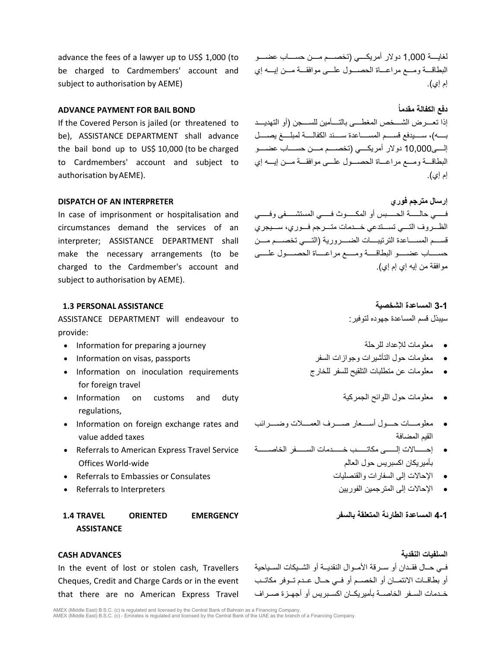advance the fees of a lawyer up to US\$ 1,000 (to be charged to Cardmembers' account and subject to authorisation by AEME)

If the Covered Person is jailed (or threatened to be), ASSISTANCE DEPARTMENT shall advance the bail bond up to US\$ 10,000 (to be charged to Cardmembers' account and subject to authorisation byAEME).

In case of imprisonment or hospitalisation and circumstances demand the services of an interpreter; ASSISTANCE DEPARTMENT shall make the necessary arrangements (to be charged to the Cardmember's account and subject to authorisation by AEME).

# **3-1 المساعدة الشخصیة ASSISTANCE PERSONAL 1.3**

ASSISTANCE DEPARTMENT will endeavour to provide:

- Information for preparing a journey للرحلة للإعداد معلومات•
- 
- Information on inoculation requirements for foreign travel
- Information on customs and duty regulations,
- Information on foreign exchange rates and value added taxes
- Referrals to American Express Travel Service Offices World-wide
- Referrals to Embassies or Consulates والقنصلیات السفارات إلى الإحالات•
- 

# **1.4 TRAVEL ORIENTED EMERGENCY ASSISTANCE**

In the event of lost or stolen cash, Travellers Cheques, Credit and Charge Cards or in the event that there are no American Express Travel

لغایــــة 1,000 دولار أمریكــــي (تخصــــم مــــن حســــاب عضــــو البطاقـــة ومـــع مراعـــاة الحصـــول علـــى موافقـــة مـــن إیـــھ إي إم إي).

**ADVANCE PAYMENT FOR BAIL BOND ُمقدما الكفالة دفع** إذا تعــــرض الشــــخص المغطــــى بالتــــأمین للســــجن (أو التھدیــــد بــــھ)، ســــیدفع قســــم المســــاعدة ســــند الكفالــــة لمبلــــغ یصــــل إلــــى10,000 دولار أمریكــــي (تخصــــم مــــن حســــاب عضــــو البطاقـــة ومـــع مراعـــاة الحصـــول علـــى موافقـــة مـــن إیـــھ إي إم إي).

**DISPATCH OF AN INTERPRETER فوري مترجم إرسال** فـــــي حالـــــة الحـــــبس أو المكـــــوث فـــــي المستشـــــفى وفـــــي الظـــروف التـــي تســـتدعي خـــدمات متـــرجم فـــوري، ســـیجري قســــم المســــاعدة الترتیبــــات الضــــروریة (التــــي تخصــــم مــــن حســـــاب عضـــــو البطاقـــــة ومـــــع مراعـــــاة الحصـــــول علـــــى موافقة من إیھ إي إم إي).

سیبذل قسم المساعدة جھوده لتوفیر:

- 
- معلومات حول التأشیرات وجوازات السفر passports ,visas on Information•
	- معلومات عن متطلبات التلقیح للسفر للخارج
		- معلومات حول اللوائح الجمركیة
	- معلومــــات حــــول أســــعار صــــرف العمــــلات وضــــرائب القیم المضافة
	- إحــــــالات إلــــــى مكاتــــــب خــــــدمات الســــــفر الخاصــــــة بأمیریكان اكسبریس حول العالم
		-
- الإحالات إلى المترجمین الفوریین Interpreters to Referrals•

**4-1 المساعدة الطارئة المتعلقة بالسفر**

**السلفیات النقدیة ADVANCES CASH** فــي حــال فقــدان أو ســرقة الأمــوال النقدیــة أو الشــیكات الســیاحیة أو بطاقــات الائتمــان أو الخصــم أو فــي حــال عــدم تــوفر مكاتــ ب خــدمات الســفر الخاصــة بأمیریكــان اكســبریس أو أجھــزة صــراف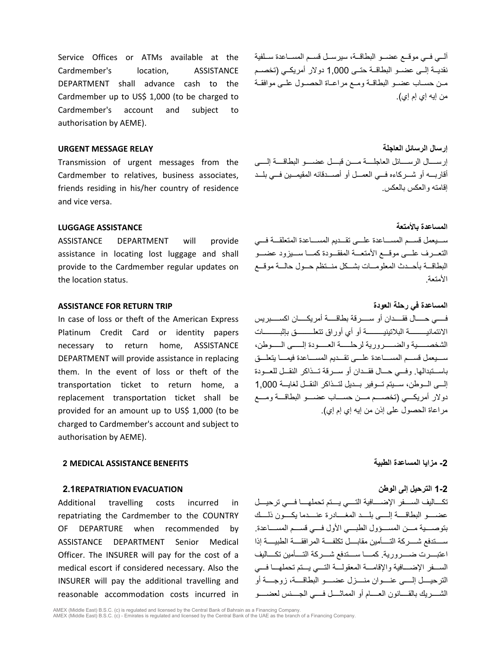Service Offices or ATMs available at the Cardmember's location, ASSISTANCE DEPARTMENT shall advance cash to the Cardmember up to US\$ 1,000 (to be charged to Cardmember's account and subject to authorisation by AEME).

Transmission of urgent messages from the Cardmember to relatives, business associates, friends residing in his/her country of residence and vice versa.

ASSISTANCE DEPARTMENT will provide assistance in locating lost luggage and shall provide to the Cardmember regular updates on the location status.

### **المساعدة في رحلة العودة TRIP RETURN FOR ASSISTANCE**

In case of loss or theft of the American Express Platinum Credit Card or identity papers necessary to return home, ASSISTANCE DEPARTMENT will provide assistance in replacing them. In the event of loss or theft of the transportation ticket to return home, a replacement transportation ticket shall be provided for an amount up to US\$ 1,000 (to be charged to Cardmember's account and subject to authorisation by AEME).

### **-2 مزایا المساعدة الطبیة BENEFITS ASSISTANCE MEDICAL 2**

### **1-2 الترحیل إلى الوطن EVACUATION REPATRIATION2.1**

Additional travelling costs incurred in repatriating the Cardmember to the COUNTRY OF DEPARTURE when recommended by ASSISTANCE DEPARTMENT Senior Medical Officer. The INSURER will pay for the cost of a medical escort if considered necessary. Also the INSURER will pay the additional travelling and reasonable accommodation costs incurred in

آلــي فــي موقــع عضــو البطاقــة، سیرســل قســم المســاعدة ســلفیة نقدیــة إلــى عضــو البطاقــة حتــى 1,000 دولار أمریكــي (تخصــم مــن حســاب عضــو البطاقــة ومــع مراعــاة الحصــول علــى موافقــة من إیھ إي إم إي).

**إرسال الرسائل العاجلة RELAY MESSAGE URGENT** إرســــال الرســــائل العاجلــــة مــــن قبــــل عضــــو البطاقــــة إلــــى أقاربـــھ أو شـــركاءه فـــي العمـــل أو أصـــدقائھ المقیمـــین فـــي بلـــد إقامتھ والعكس بالعكس.

**المساعدة بالأمتعة ASSISTANCE LUGGAGE** ســـیعمل قســـم المســـاعدة علـــى تقـــدیم المســـاعدة المتعلقـــة فـــي التعـــرف علـــى موقـــع الأمتعـــة المفقـــودة كمـــا ســـیزود عضـــو البطاقـــة بأحـــدث المعلومـــات بشـــ كل منـــتظم حـــول حالـــة موقـــع الأمتعة.

> فـــــي حـــــال فقـــــدان أو ســـــرقة بطاقـــــة أمریكـــــان اكســـــبریس الائتمانیـــــــــة البلاتینیـــــــــة أو أي أوراق تتعلـــــــــق بإثبـــــــــات الشخصـــــیة والضـــــروریة لرحلـــــة العـــــودة إلـــــى الـــــوطن، ســـیعمل قســـم المســـاعدة علـــى تقـــ دیم المســـاعدة فیمـــا یتعلـــق باســـتبدالھا. وفـــي حـــال فقـــدان أو ســـرقة تـــذاكر النقـــل للعـــودة إلـــى الـــوطن، ســـیتم تـــوفیر بـــدیل لتـــذاكر النقـــل لغایـــة 1,000 دولار أمریكــــي (تخصــــم مــــن حســــاب عضــــو البطاقــــة ومــــع مراعاة الحصول على إذن من إیھ إي إم إي).

تكــــالیف الســــفر الإضــــافیة التــــي یــــتم تحملھــــا فــــي ترحیــــل عضــــو البطاقــــة إلــــى بلــــد المغــــادرة عنــــدما یكــــون ذلــــك بتوصــــ یة مــــن المســــؤول الطبــــي الأول فــــي قســــم المســــاعدة. ســــتدفع شــــركة التــــأمین مقابــــل تكلفــــة المرافقــــة الطبیــــة إذا اعتبــــرت ضــــروریة. كمــــا ســــتدفع شــــركة التــــأمین تكــــالیف الســـفر الإضـــافیة والإقامـــة المعقولـــة التـــي یـــتم تحملھـــا فـــي الترحیــــل إلــــى عنــــوان منــــزل عضــــو البطاقــــة، زوجــــة أو الشــــریك بالقــــانون العــــام أو المماثــــل فــــي الجــــنس لعضــــو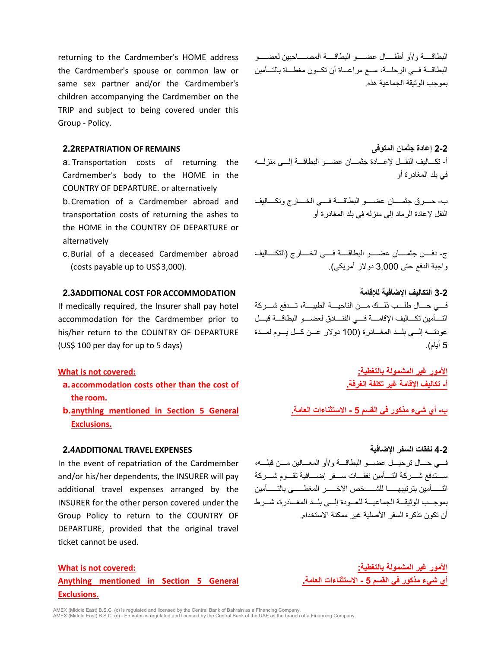returning to the Cardmember's HOME address the Cardmember's spouse or common law or same sex partner and/or the Cardmember's children accompanying the Cardmember on the TRIP and subject to being covered under this Group - Policy.

a. Transportation costs of returning the Cardmember's body to the HOME in the COUNTRY OF DEPARTURE. or alternatively

b.Cremation of a Cardmember abroad and transportation costs of returning the ashes to the HOME in the COUNTRY OF DEPARTURE or alternatively

c.Burial of a deceased Cardmember abroad (costs payable up to US\$3,000).

## **2.3ADDITIONAL COST FOR ACCOMMODATION للإقامة الإضافیة التكالیف 3-2**

If medically required, the Insurer shall pay hotel accommodation for the Cardmember prior to his/her return to the COUNTRY OF DEPARTURE (US\$ 100 per day for up to 5 days)

- **a.accommodation costs other than the cost of the room.**
- **b.anything mentioned in Section 5 General Exclusions.**

# **4-2 نفقات السفر الإضافیة EXPENSES TRAVEL ADDITIONAL2.4**

In the event of repatriation of the Cardmember and/or his/her dependents, the INSURER will pay additional travel expenses arranged by the INSURER for the other person covered under the Group Policy to return to the COUNTRY OF DEPARTURE, provided that the original travel ticket cannot be used.

# **Anything mentioned in Section 5 General Exclusions.**

البطاقــــة و/أو أطفــــال عضــــو البطاقــــة المصــــاحبین لعضــــو البطاقـــة فـــي الرحلـــة، مـــع مراعـــاة أن تكـــون مغطـــاة بالتـــأمین بموجب الوثیقة الجماعیة ھذه.

**2-2 إعادة جثمان المتوفى REMAINS OF REPATRIATION2.2** أ- تكـــالیف النقـــل لإعـــادة جثمـــان عضـــو البطاقـــة إلـــى منزلـــھ في بلد المغادرة أو

> ب- حــــرق جثمــــان عضــــو البطاقــــة فــــي الخــــارج وتكــــالیف النقل لإعادة الرماد إلى منزلھ في بلد المغادرة أو

> ج- دفــــن جثمــــان عضــــو البطاقــــة فــــي الخــــارج (التكــــالیف واجبة الدفع حتى 3,000 دولار أمریكي).

> فــــي حــــال طلــــب ذلــــك مــــ ن الناحیــــة الطبیــــة، تــــدفع شــــركة التـــأمین تكـــالیف الإقامـــة فـــي الفنـــادق لعضـــو البطاقـــة قبـــل عودتـــھ إلـــى بلـــد المغـــادرة (100 دولار عـــن كـــل یـــوم لمـــدة 5 أیام).

**الأمور غیر المشمولة بالتغطیة: :covered not is What أ- تكالیف الإقامة غیر تكلفة الغرفة.**

**ب- أي شيء مذكور في القسم 5 - الاستثناءات العامة.**

فـــي حـــال ترحیـــل عضـــو البطاقـــة و/أو المعـــالین مـــن قبلـــھ، ســــتدفع شــــركة التــــأمین نفقــــات ســــفر إضــــافیة تقــــوم شــــركة التــــــأمین بترتیبھــــــا للشــــــخص الآخــــــر المغطــــــى بالتــــــأمین بموجـــب الوثیقـــة الجماعیـــة للعـــودة إلـــى بلـــد المغـــادرة، شـــرط أن تكون تذكرة السفر الأصلیة غیر ممكنة الاستخدام.

**الأمور غیر المشمولة بالتغطیة: :covered not is What أي شيء مذكور في القسم 5 - الاستثناءات العامة.**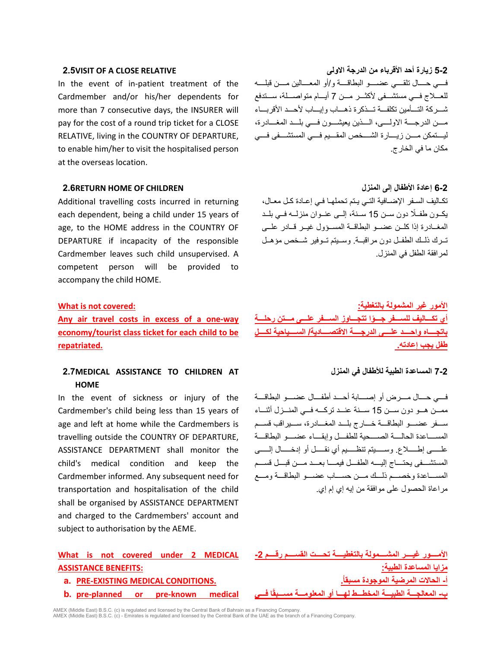In the event of in-patient treatment of the Cardmember and/or his/her dependents for more than 7 consecutive days, the INSURER will pay for the cost of a round trip ticket for a CLOSE RELATIVE, living in the COUNTRY OF DEPARTURE, to enable him/her to visit the hospitalised person at the overseas location.

### **6-2 إعادة الأطفال إلى المنزل CHILDREN OF HOME RETURN2.6**

Additional travelling costs incurred in returning each dependent, being a child under 15 years of age, to the HOME address in the COUNTRY OF DEPARTURE if incapacity of the responsible Cardmember leaves such child unsupervised. A competent person will be provided to accompany the child HOME.

**Any air travel costs in excess of a one-way economy/tourist class ticket for each child to be repatriated.**

# **2.7MEDICAL ASSISTANCE TO CHILDREN AT HOME**

In the event of sickness or injury of the Cardmember's child being less than 15 years of age and left at home while the Cardmembers is travelling outside the COUNTRY OF DEPARTURE, ASSISTANCE DEPARTMENT shall monitor the child's medical condition and keep the Cardmember informed. Any subsequent need for transportation and hospitalisation of the child shall be organised by ASSISTANCE DEPARTMENT and charged to the Cardmembers' account and subject to authorisation by the AEME.

# **What is not covered under 2 MEDICAL ASSISTANCE BENEFITS:**

- 
- **b. pre-planned or pre-known medical فـــي اً**

**5-2 زیارة أحد الأقرباء من الدرجة الاولى RELATIVE CLOSE A OF VISIT2.5** فــــي حــــال تلقــــي عضــــو البطاقــــة و/أو المعــــالین مــــن قبلــــ ھ للعـــلاج فـــي مستشـــفى لأكثـــر مـــن 7 أیـــام متواصـــلة، ســـتدفع شـــركة التـــأمین تكلفـــة تـــذكرة ذھـــاب وإیـــاب لأحـــد الأقربـــاء مــــن الدرجــــة الاولــــى، الــــذین یعیشــــون فــــي بلــــد المغــــادرة، لیــــتمكن مــــن زیــــارة الشــــخص المقــــیم فــــي المستشــــفى فــــي مكان ما في الخارج.

> تكـالیف السـفر الإضـافیة التـي یـتم تحملھـا فـي إعـادة كـل معـال، ً یكــون طفــلا دون ســن 15 ســنة، إلــى عنــوان منزلــھ فــي بلــد المغــادرة إذا كلــن عضــو البطاقــة المســؤول غیــر قــادر علــى تــرك ذلــك الطفــل دون مراقبــة. وســیتم تــوفیر شــخص مؤھــل لمرافقة الطفل في المنزل.

**الأمور غیر المشمولة بالتغطیة: :covered not is What ً أي تكـــالیف للســـفر جـــوا تتجـــاوز الســـفر علـــى مـــتن رحلـــة باتجــــاه واحــــد علــــى الدرجــــة الاقتصــــادیة/ الســــیاحیة لكــــل طفل یجب إعادتھ.** 

### **7-2 المساعدة الطبیة للأطفال في المنزل**

فــــي حــــال مــــرض أو إصــــابة أحــــد أطفــــال عضــــو البطاقــــة ممـــن ھـــو دون ســـن 15 ســـنة عنـــد تركـــھ فـــي المنـــزل أثنـــاء ســـفر عضـــو البطاقـــة خـــارج بلـــد المغـــادرة، ســـیراقب قســـم المســــاعدة الحالــــة الصــــحیة للطفــــل وإبقــــاء عضــــو البطاقــــة علـــــى إطـــــلاع. وســـــیتم تنظـــــیم أي نقـــــل أو إدخـــــال إلـــــى المستشــــفى یحتــــاج إلیــــھ الطفــــل فیمــــا بعــــد مــــن قبــــل قســــم المســـاعدة وخصـــم ذلـــك مـــن حســـاب عضـــو البطاقـــة ومـــع مراعاة الحصول على موافقة من إیھ إي إم إي.

**الأمــــور غیــــر المشــــمولة بالتغطیــــة تحــــت القســــم رقــــم -2 مزایا المساعدة الطبیة: أ- الحالات المرضیة الموجودة مسبقا.ُ .CONDITIONS MEDICAL EXISTING-PRE .a ب- المعالجـــة الطبیـــة المخطـــط لھـــا أو المعلومـــة مســـبق**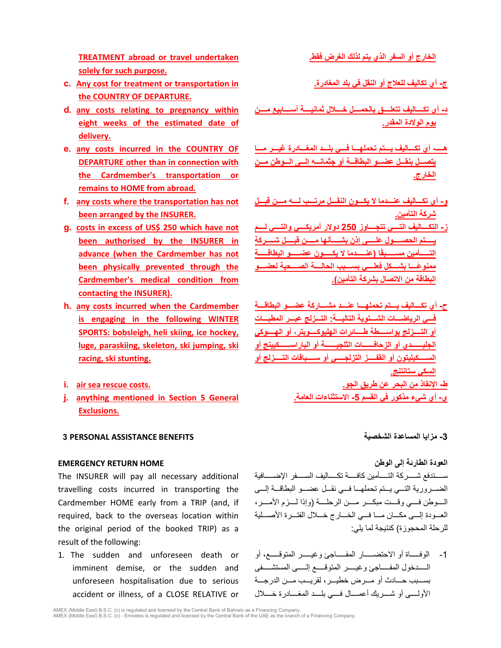**TREATMENT abroad or travel undertaken solely for such purpose.**

- **c. Any cost for treatment or transportation in the COUNTRY OF DEPARTURE.**
- **d. any costs relating to pregnancy within eight weeks of the estimated date of delivery.**
- **e. any costs incurred in the COUNTRY OF DEPARTURE other than in connection with the Cardmember's transportation or remains to HOME from abroad.**
- **f. any costs where the transportation has not been arranged by the INSURER.**
- **g. costs in excess of US\$ 250 which have not been authorised by the INSURER in advance (when the Cardmember has not been physically prevented through the Cardmember's medical condition from contacting the INSURER).**
- **h. any costs incurred when the Cardmember is engaging in the following WINTER SPORTS: bobsleigh, heli skiing, ice hockey, luge, paraskiing, skeleton, ski jumping, ski racing, ski stunting.**
- 
- **j. anything mentioned in Section 5 General Exclusions.**

# **-3 مزایا المساعدة الشخصیة BENEFITS ASSISTANCE PERSONAL 3**

The INSURER will pay all necessary additional travelling costs incurred in transporting the Cardmember HOME early from a TRIP (and, if required, back to the overseas location within the original period of the booked TRIP) as a result of the following:

1. The sudden and unforeseen death or imminent demise, or the sudden and unforeseen hospitalisation due to serious accident or illness, of a CLOSE RELATIVE or **الخارج أو السفر الذي یتم لذلك الغرض فقط.**

**ج- أي تكالیف للعلاج أو النقل في بلد المغادرة.**

- **د- أي تكــــالیف تتعلــــق بالحمــــل خــــلال ثمانیــــة أســــابیع مــــن یوم الولادة المقدر.**
- **ھــــ- أي تكـــالیف یـــتم تحملھـــا فـــي بلـــد المغـــادرة غیـــر مـــا یتصـــل بنقـــل عضـــو البطاقـــة أو جثمانـــھ إلـــى الـــوطن مـــن الخارج.**
- **و- أي تكـــالیف عنـــدما لا یكـــون النقـــل مرتـــب لـــھ مـــن قبـــل شركة التأمین.**
- **ز- التكــــالیف التــــي تتجــــاوز 250 دولار أمریكــــي والتــــي لــــم یـــــتم الحصـــــول علـــــى إذن بشـــــأنھا مـــــن قبـــــل شـــــركة ًا (عنـــــدما لا یكـــــون عضـــــو البطاقـــــة التـــــأمین مســـــبق ً ممنوعــــا بشــــكل فعلــــي بســــبب الحالــــة الصــــحیة لعضــــو البطاقة من الاتصال بشركة التأمین).**
- **ح- أي تكــــالیف یــــتم تحملھــــا عنــــد مشــــاركة عضــــو البطاقــــة فـــي الریاضـــات الشـــتویة التالیـــة: التـــزلج عبـــر المطبـــات أو التــــزلج بواســــطة طــــائرات الھلیوكــــوبتر، أو الھــــوكي الجلیــــــدي أو الزحافــــــات الثلجیــــــة أو الباراســـــــكیینج أو الســـــكیلیتون أو القفـــــز التزلجـــــي أو ســـــباقات التـــــزلج أو السكي ستانتنج. ط- الإنقاذ من البحر عن طریق الجو. .costs rescue sea air .i**
	- **ي- أي شيء مذكور في القسم -5 الاستثناءات العامة.**

**العودة الطارئة إلى الوطن HOME RETURN EMERGENCY** ســـــتدفع شـــــركة التـــــأمین كافـــــة تكـــــالیف الســـــفر الإضـــــافیة الضـــروریة التـــي یـــتم تحملھـــا فـــي نقـــل عضـــو البطاقـــة إلـــى الــــوطن فــــي وقــــت مبكــــر مــــن الرحلــــة (وإذا لــــزم الأمــــر، العـــودة إلـــى مكـــان مـــا فـــي الخـــارج خـــلال الفتـــرة الأصـــلیة للرحلة المحجوزة) كنتیجة لما یلي:

> -1 الوفـــــاة أو الاحتضـــــار المفـــــاجئ وغیـــــر المتوقـــــع، أو الـــــدخول المفـــــاجئ وغیـــــ ر المتوقـــــع إلـــــى المستشـــــفى بســـبب حـــادث أو مـــرض خطیـــر، لقریـــب مـــن الدرجـــة الأولــــى أو شــــریك أعمــــال فــــي بلــــد المغــــادرة خــــلال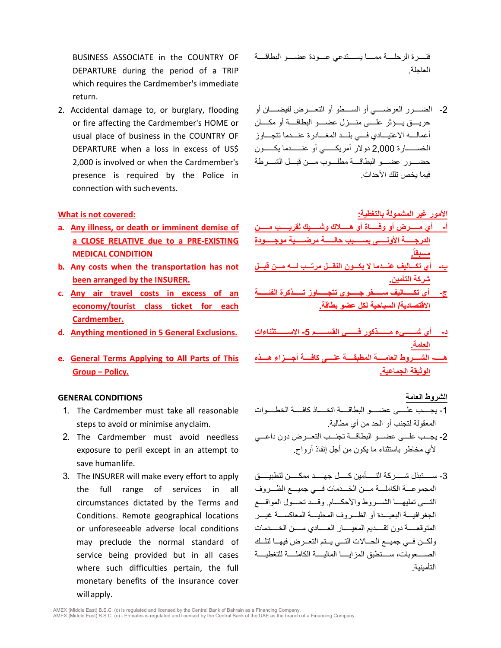BUSINESS ASSOCIATE in the COUNTRY OF DEPARTURE during the period of a TRIP which requires the Cardmember's immediate return.

2. Accidental damage to, or burglary, flooding or fire affecting the Cardmember's HOME or usual place of business in the COUNTRY OF DEPARTURE when a loss in excess of US\$ 2,000 is involved or when the Cardmember's presence is required by the Police in connection with suchevents.

- **a. Any illness, or death or imminent demise of a CLOSE RELATIVE due to a PRE-EXISTING MEDICAL CONDITION**
- **b. Any costs when the transportation has not been arranged by the INSURER.**
- **c. Any air travel costs in excess of an economy/tourist class ticket for each Cardmember.**
- **د- أي شــــــيء مــــــذكور فــــــي القســــــم -5 الاســــــتثناءات .Exclusions General 5 in mentioned Anything .d**
- **e. General Terms Applying to All Parts of This Group – Policy.**

### **الشروط العامة CONDITIONS GENERAL**

- 1. The Cardmember must take all reasonable steps to avoid or minimise anyclaim.
- 2. The Cardmember must avoid needless exposure to peril except in an attempt to save humanlife.
- 3. The INSURER will make every effort to apply the full range of services in all circumstances dictated by the Terms and Conditions. Remote geographical locations or unforeseeable adverse local conditions may preclude the normal standard of service being provided but in all cases where such difficulties pertain, the full monetary benefits of the insurance cover will apply.

فتــــرة الرحلــــة ممــــا یســــتدعي عــــودة عضــــو البطاقــــة العاجلة.

-2 الضــــرر العرضــــي أو الســــطو أو التعــــرض لفیضــــان أو حریــــق یــــؤثر علــــى منــــزل عضــــو البطاقــــة أو مكــــان أعمالــــھ الاعتیــــادي فــــي بلــــد المغــــادرة عنــــدما تتجــــاوز الخســــــارة 2,000 دولار أمریكــــــي أو عنــــــدما یكــــــون حضــــور عضــــو البطاقــــة مطلــــوب مــــن قبــــل الشــــرطة فیما یخص تلك الأحداث.

# **الأمور غیر المشمولة بالتغطیة: :covered not is What**

- **أ- أي مـــــرض أو وفـــــاة أو ھـــــلاك وشـــــیك لقریـــــب مـــــن الدرجـــــة الأولـــــى بســـــبب حالـــــة مرضـــــیة موجـــــودة مسبقا.ُ**
- **ب- أي تكـــالیف عنـــدما لا یكـــون النقـــل مرتـــب لـــھ مـــن قبـــل شركة التأمین.**
- **ج- أي تكـــــالیف ســـــفر جـــــوي تتجـــــاوز تـــــذكرة الفئــــــة الاقتصادیة/ السیاحیة لكل عضو بطاقة.**
- **العامة.**
- **ھـــــ- الشــــروط العامــــة المطبقــــة علــــى كافــــة أجــــزاء ھــــذه الوثیقة الجماعیة.**

- -1 یجــــب علــــى عضــــو البطاقــــة اتخــــاذ كافــــة الخطــــوات المعقولة لتجنب أو الحد من أي مطالبة.
- -2 یجـــب علـــى عضـــو البطاقـــة تجنـــب التعـــرض دون داعـــي لأي مخاطر باستثناء ما یكون من أجل إنقاذ أرواح.
- -3 ســـــتبذل شـــــركة التـــــأمین كـــــل جھـــــد ممكـــــن لتطبیـــــ ق المجموعـــة الكاملـــة مـــن الخـــدمات فـــي جمیـــع الظـــروف التــــي تملیھــــا الشــــروط والأحكــــام. وقــــد تحــــول المواقــــع الجغرافیــــة البعیــــدة أو الظــــروف المحلیــــة المعاكســــة غیــــر المتوقعـــــة دون تقـــــدیم المعیـــــار العـــــادي مـــــن الخـــــدمات ولكـــن فـــي جمیـــع الحـــالات التـــي یـــتم التعـــرض فیھـــا لتلـــك الصــــعوبات، ســــتطبق المزایــــا المالیــــة الكاملــــة للتغطیــــة التأمینیة.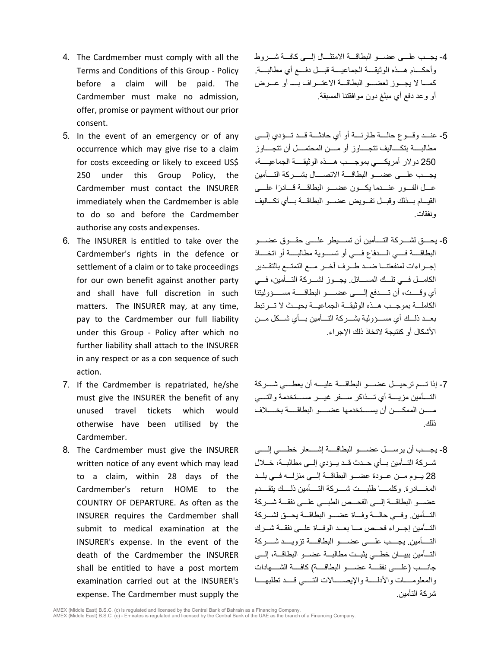- 4. The Cardmember must comply with all the Terms and Conditions of this Group - Policy before a claim will be paid. The Cardmember must make no admission, offer, promise or payment without our prior consent.
- 5. In the event of an emergency or of any occurrence which may give rise to a claim for costs exceeding or likely to exceed US\$ 250 under this Group Policy, the Cardmember must contact the INSURER immediately when the Cardmember is able to do so and before the Cardmember authorise any costs andexpenses.
- 6. The INSURER is entitled to take over the Cardmember's rights in the defence or settlement of a claim or to take proceedings for our own benefit against another party and shall have full discretion in such matters. The INSURER may, at any time, pay to the Cardmember our full liability under this Group - Policy after which no further liability shall attach to the INSURER in any respect or as a con sequence of such action.
- 7. If the Cardmember is repatriated, he/she must give the INSURER the benefit of any unused travel tickets which would otherwise have been utilised by the Cardmember.
- 8. The Cardmember must give the INSURER written notice of any event which may lead to a claim, within 28 days of the Cardmember's return HOME to the COUNTRY OF DEPARTURE. As often as the INSURER requires the Cardmember shall submit to medical examination at the INSURER's expense. In the event of the death of the Cardmember the INSURER shall be entitled to have a post mortem examination carried out at the INSURER's expense. The Cardmember must supply the
- -4 یجـــب علـــ ى عضـــو البطاقـــة الامتثـــال إلـــى كافـــة شـــروط وأحكــــام ھــــذه الوثیقــــة الجماعیــــة قبــــل دفــــع أي مطالبــــة. كمـــا لا یجـــوز لعضـــو البطاقـــة الاعتـــراف بــــ أو عـــرض أو وعد دفع أي مبلغ دون موافقتنا المسبقة.
- -5 عنـــد وقـــوع حالـــة طارئـــة أو أي حادثـــة قـــد تـــؤدي إلـــى مطالبــــة بتكــــالیف تتجــــاوز أو مــــن المحتمــــل أن تتجــــاوز 250 دولار أمریكــــي بموجــــب ھــــذه الوثیقــــة الجماعیــــة، یجــــب علــــى عضــــو البطاقــــة الاتصــــال بشــــركة التــــأمین عـــل الفـــور عنـــدما يكـــون عضــــو البطاقـــة قـــادرًا علــــى القیـــام بـــذلك وقبـــل تفـــویض عضـــو البطاقـــة بـــأي تكـــالیف ونفقات.
- -6 یحــــق لشــــركة التــــأمین أن تســــیطر علــــى حقــــوق عضــــو البطاقــــة فــــي الــــدفاع فــــي أو تســــویة مطالبــــة أو اتخــــاذ إجـــراءات لمنفعتنـــا ضـــ د طـــرف آخـــر مـــع التمتـــع بالتقـــدیر الكامـــل فـــي تلـــك المســـائل. یجـــوز لشـــركة التـــأمین، فـــي أي وقـــــت، أن تـــــدفع إلـــــى عضـــــو البطاقـــــة مســـــؤولیتنا الكاملـــة بموجـــب ھـــذه الوثیقـــة الجماعیـــة بحیـــث لا تـــرتبط بعـــد ذلـــك أي مســـؤولیة بشـــركة التـــأمین بـــأي شـــكل مـــن الأشكال أو كنتیجة لاتخاذ ذلك الإجراء.
- -7 إذا تــــم ترحیــــل عضــــو البطاقــــة علیــــھ أن یعطــــي شــــركة التــــأمین مزیــــة أي تــــذاكر ســــفر غیــــر مســــتخدمة والتــــي مـــــن الممكـــــ ن أن یســـــتخدمھا عضـــــو البطاقـــــة بخـــــلاف ذلك.
- -8 یجــــب أن یرســــل عضــــو البطاقــــة إشــــعار خطــــي إلــــى شــركة التــأمین بــأي حــدث قــد یــؤدي إلــى مطالبــة، خــلال 28 یـــوم مـــن عـــودة عضـــو البطاقـــة إلـــى منزلـــھ فـــي بلـــد المغــــادرة. وكلمــــا طلبــــت شــــركة التــــأمین ذلــــك یتقــــدم عضـــو البطاقـــة إلـــى الفحـــص الطبـــي علـــى نفقـــة شـــركة التـــأمین. وفـــي حالـــة وفـــاة عضـــو البطاقـــة یحـــق لشـــركة التـــأمین إجـــراء فحـــص مـــا بعـــد الوفـــاة علـــى نفقـــة شـــرك التــــأمین. یجــــب علــــى عضــــو البطاقــــة تزویــــد شــــركة التـــأمین ببیـــان خطـــي یثبـــت مطالبـــة عضـــو البطاقـــة، إلـــى جانــــب (علــــى نفقــــة عضــــو البطاقــــة) كافــــة الشــــھادات والمعلومـــــات والأدلـــــة والإیصـــــالات التـــــي قـــــد تطلبھـــــا شركة التأمین.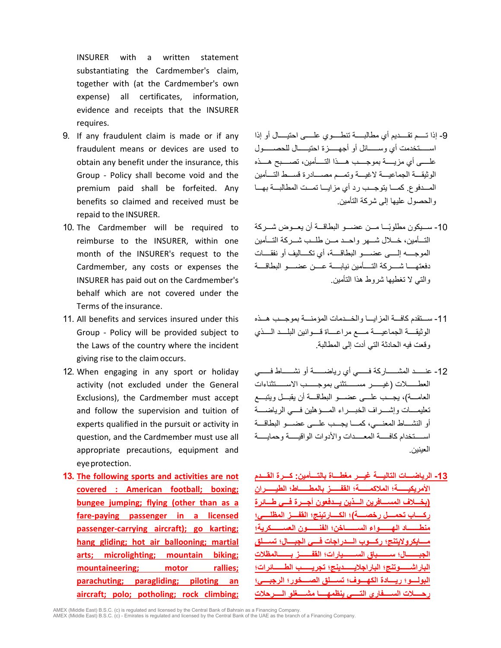INSURER with a written statement substantiating the Cardmember's claim, together with (at the Cardmember's own expense) all certificates, information, evidence and receipts that the INSURER requires.

- 9. If any fraudulent claim is made or if any fraudulent means or devices are used to obtain any benefit under the insurance, this Group - Policy shall become void and the premium paid shall be forfeited. Any benefits so claimed and received must be repaid to the INSURER.
- 10. The Cardmember will be required to reimburse to the INSURER, within one month of the INSURER's request to the Cardmember, any costs or expenses the INSURER has paid out on the Cardmember's behalf which are not covered under the Terms of the insurance.
- 11. All benefits and services insured under this Group - Policy will be provided subject to the Laws of the country where the incident giving rise to the claimoccurs.
- 12. When engaging in any sport or holiday activity (not excluded under the General Exclusions), the Cardmember must accept and follow the supervision and tuition of experts qualified in the pursuit or activity in question, and the Cardmember must use all appropriate precautions, equipment and eyeprotection.
- **13. The following sports and activities are not covered : American football; boxing; bungee jumping; flying (other than as a fare-paying passenger in a licensed passenger-carrying aircraft); go karting; hang gliding; hot air ballooning; martial arts; microlighting; mountain biking; mountaineering; motor rallies; parachuting; paragliding; piloting an aircraft; polo; potholing; rock climbing;**
- -9 إذا تــــم تقــــدیم أي مطالبــــة تنطــــوي علــــى احتیــــال أو إذا اســـــتخدمت أي وســـــائل أو أجھـــــزة احتیـــــال للحصــــــول علــــى أي مزیــــة بموجــــب ھــــذا التــــأمین، تصــــبح ھــــذه الوثیقـــة الجماعیـــة لاغیـــة وتمـــم مصـــادرة قســـط التـــأمین المـــدفوع. كمـــا یتوجـــب رد أي مزایـــا تمـــت المطالبـــة بھـــا والحصول علیھا إلى شركة التأمین.
- -10 ً ســـیكون مطلوبـــا مـــن عضـــو البطاقـــة أن یعـــوض شـــركة التـــأمین، خـــلال شـــھر واحـــد مـــ ن طلـــب شـــركة التـــأمین الموجــــھ إلــــى عضــــو البطاقــــة، أي تكــــالیف أو نفقــــات دفعتھــــا شــــركة التــــأمین نیابــــة عــــن عضــــو البطاقــــة والتي لا تغطیھا شروط ھذا التأمین.
- -11 ســـتقدم كافـــة المزایـــا والخـــدمات المؤمنـــة بموجـــب ھـــذه الوثیقــــة الجماعیــــة مــــع مراعــــاة قــــوانین البلــــد الــــذي وقعت فیھ الحادثة التي أدت إلى المطالبة.
- -12 عنــــــد المشــــــاركة فــــــي أي ریاضــــــ ة أو نشــــــاط فــــــي العطــــــلات (غیــــــر مســــــتثنى بموجــــــب الاســــــتثناءات العامـــة)، یجـــب علـــى عضـــو البطاقـــة أن یقبـــل ویتبـــع تعلیمــــات وإشــــراف الخبــــراء المــــؤھلین فــــي الریاضــــة أو النشــــاط المعنــــي، كمــــا یجــــب علــــى عضــــو البطاقــــة اســـــتخدام كافـــــة المعـــــدات والأدوات الواقیـــــة وحمایـــــة العینین.
- **-13 الریاضـــات التالیـــة غیـــر مغطـــاة بالتـــأمین: كـــرة القـــدم الأمریكیــــــة؛ الملاكمــــــة؛ القفــــــز بالمطــــــاط؛ الطیــــــران (بخـــلاف المســـافرین الـــذین یـــدفعون أجـــرة فـــي طـــائرة ركــــاب تحمــــل رخصــــة)؛ الكــــارتینج؛ القفــــز المظلــــي؛ منطـــــــاد الھـــــــواء الســـــــاخن؛ الفنـــــــون العســـــــكریة؛ مــــایكرولایتنج؛ ركــــوب الــــدراجات فــــي الجبــــال؛ تســــلق الجبـــــــال؛ ســـــــباق الســـــــیارات؛ القفـــــــز بـــــــالمظلات الباراشــــــوتنج؛ الباراجلایــــــدینج؛ تجریــــــب الطــــــائرات؛ البولــــو؛ ریــــادة الكھــــوف؛ تســــلق الصــــخور؛ الرجبــــي؛ رحــــلات الســــفاري التــــي ینظمھــــا مشــــغلو الــــرحلات**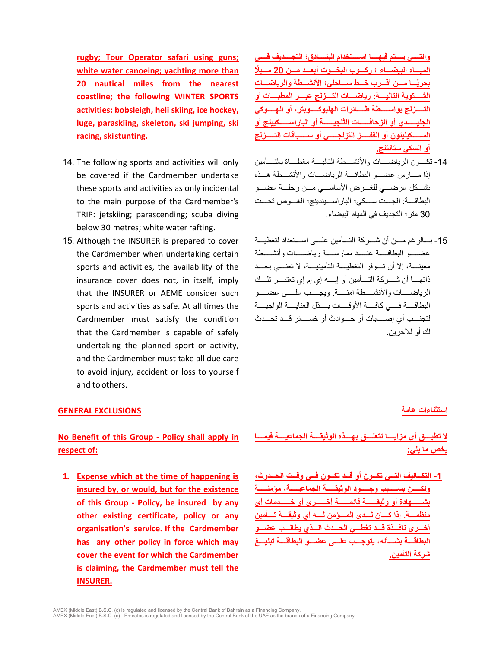**rugby; Tour Operator safari using guns; white water canoeing; yachting more than 20 nautical miles from the nearest coastline; the following WINTER SPORTS activities: bobsleigh, heli skiing, ice hockey, luge, paraskiing, skeleton, ski jumping, ski racing, skistunting.**

- 14. The following sports and activities will only be covered if the Cardmember undertake these sports and activities as only incidental to the main purpose of the Cardmember's TRIP: jetskiing; parascending; scuba diving below 30 metres; white water rafting.
- 15. Although the INSURER is prepared to cover the Cardmember when undertaking certain sports and activities, the availability of the insurance cover does not, in itself, imply that the INSURER or AEME consider such sports and activities as safe. At all times the Cardmember must satisfy the condition that the Cardmember is capable of safely undertaking the planned sport or activity, and the Cardmember must take all due care to avoid injury, accident or loss to yourself and to others.

### **استثناءات عامة EXCLUSIONS GENERAL**

# **No Benefit of this Group - Policy shall apply in respect of:**

**1. Expense which at the time of happening is insured by, or would, but for the existence of this Group - Policy, be insured by any other existing certificate, policy or any organisation's service. If the Cardmember has any other policy in force which may cover the event for which the Cardmember is claiming, the Cardmember must tell the INSURER.**

**والتــــي یــــتم فیھــــا اســــتخدام البنــــادق؛ التجــــدیف فــــي المیـــاه البیضـــاء ؛ ركـــوب الیخـــوت أبعـــد مـــن 20 ً مـــیلا ً بحریـــا مـــن أقـــرب خـــط ســـاحلي؛ الأنشـــطة والریاضـــات الشــــتویة التالیــــة: ریاضــــات التــــزلج عبــــر المطبــــات أو التـــــزلج بواســـــطة طـــــائرات الھلیوكـــــوبتر، أو الھـــــوكي الجلیــــــدي أو الزحافــــــات الثلجیــــــة أو الباراســــــكیینج أو الســـــكیلیتون أو القفـــــز التزلجـــــي أو ســـــباقات التـــــزلج أو السكي ستانتنج.**

- -14 تكــــون الریاضــــات والأنشــــطة التالیــــة مغطــــاة بالتــــأمین إذا مـــارس عضـــو البطاقـــة الریاضـــات والأنشـــطة ھـــذه بشـــكل عرضـــي للغـــرض الأساســـي مـــن رحلـــة عضـــو البطاقــــة: الجــــت ســــكي؛ الباراســــیندینج؛ الغــــوص تحــــت 30 متر؛ التجدیف في المیاه البیضاء.
- -15 بـــالرغم مـــن أن شـــركة التـــأمین علـــى اســـتعداد لتغطیـــة عضـــــو البطاقـــــة عنـــــد ممارســـــة ریاضـــــات وأنشـــــطة معینــــة، إلا أن تــــوفر التغطیــــة التأمینیــــة، لا تعنــــي بحــــد ذاتھــــا أن شــــركة التــــأمین أو إیــــھ إي إم إي تعتبــــر تلــــك الریاضـــــات والأنشـــــطة آمنـــــ ة. ویجـــــب علـــــى عضـــــو البطاقــــة فــــي كافــــة الأو قــــات بــــذل العنايــــة الواجبــــة لتجنـــب أي إصـــابات أو حـــوادث أو خســـائر قـــد تحـــدث لك أو للآخرین.

# **لا تطبــــق أي مزایــــا تتعلــــق بھــــذه الوثیقــــة الجماعیــــة فیمــــا یخص ما یلي:**

**-1 التكـــالیف التـــي تكـــون أو قـــد تكـــون فـــي وقـــت الحـــدوث، ولكـــــن بســـــبب وجـــــود الوثیقـــــة الجماعیـــــة، مؤمنـــــة بشــــــھادة أو وثیقــــــة قائمــــــة أخــــــرى أو خــــــدمات أي منظمـــة. إذا كـــان لـــدى المـــؤمن لـــھ أي وثیقـــة تـــأمین أخـــرى نافـــذة قـــد تغطـــي الحـــدث الـــذي یطالـــب عضـــو البطاقـــة بشـــأنھ، یتوجـــب علـــى عضـــو البطاقـــة تبلیـــغ شركة التأمین.**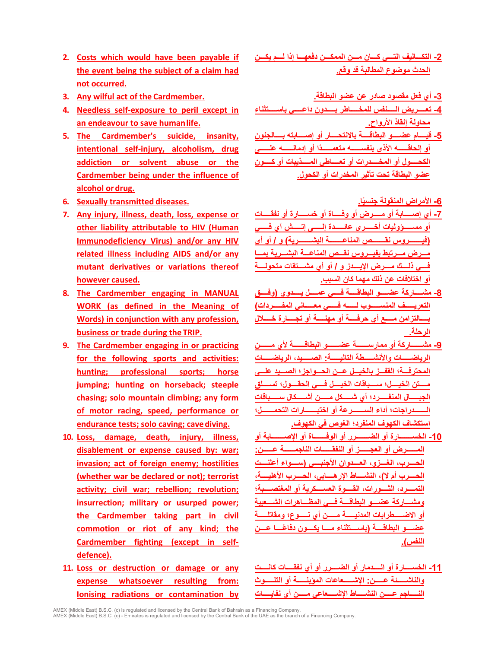- **2. Costs which would have been payable if the event being the subject of a claim had not occurred.**
- **-3 أي فعل مقصود صادر عن عضو البطاقة. .Cardmember the of act wilful Any 3.**
- **4. Needless self-exposure to peril except in an endeavour to save humanlife.**
- **5. The Cardmember's suicide, insanity, intentional self-injury, alcoholism, drug addiction or solvent abuse or the Cardmember being under the influence of alcohol ordrug.**
- **6. Sexually transmitted diseases. .اً**
- **7. Any injury, illness, death, loss, expense or other liability attributable to HIV (Human Immunodeficiency Virus) and/or any HIV related illness including AIDS and/or any mutant derivatives or variations thereof however caused.**
- **8. The Cardmember engaging in MANUAL WORK (as defined in the Meaning of Words) in conjunction with any profession, business or trade during the TRIP.**
- **9. The Cardmember engaging in or practicing for the following sports and activities: hunting; professional sports; horse jumping; hunting on horseback; steeple chasing; solo mountain climbing; any form of motor racing, speed, performance or endurance tests; solo caving; cavediving.**
- **10. Loss, damage, death, injury, illness, disablement or expense caused by: war; invasion; act of foreign enemy; hostilities (whether war be declared or not); terrorist activity; civil war; rebellion; revolution; insurrection; military or usurped power; the Cardmember taking part in civil commotion or riot of any kind; the Cardmember fighting (except in selfdefence).**
- **11. Loss or destruction or damage or any expense whatsoever resulting from: Ionising radiations or contamination by**

**-2 التكـــالیف التـــي كـــان مـــن الممكـــن دفعھـــا إذا لـــم یكـــن الحدث موضوع المطالبة قد وقع.**

- **-4 تعـــــریض الـــــنفس للمخـــــاطر بـــــدون داعـــــي باســـــتثناء محاولة إنقاذ الأرواح.**
- **-5 قیــــام عضــــو البطاقــــة بالانتحــــار أو إصــــابتھ بــــالجنون أو إلحاقــــــھ الأذى بنفســــــھ متعمــــــ ًدا أو إدمانــــــھ علــــــى الكحــــول أو المخــــدرات أو تعــــاطي المــــذیبات أو كـــــون عضو البطاقة تحت تأثیر المخدرات أو الكحول.**

**-6 الأمراض المنقولة جنسی**

- **-7 أي إصـــــابة أو مـــــرض أو وفـــــاة أو خســـــارة أو نفقـــــات أو مســـــؤولیات أخـــــرى عائـــــدة إلـــــى إتـــــش آي فـــــي (فیـــــــروس نقــــــــص المناعـــــــة البشــــــــریة) و / أو أي مـــرض مـــرتبط بفیـــروس نقـــص المناعـــة البشـــریة بمـــا فــــي ذلــــك مــــرض الإیــــدز و / أو أي مشــــتقات متحولــــة أو اختلافات عن ذلك مھما كان السبب.**
- **-8 مشــــاركة عضــــو البطاقــــة فــــي عمــــل یــــدوي (وفــــق التعریـــــف المنســـــوب لـــــھ فـــــي معـــــاني المفـــــردات) بــــالتزامن مــــع أي حرفــــة أو مھنــــة أو تجــــارة خــــلال الرحلة.**
- **-9 مشــــــاركة أو ممارســــــة عضــــــو البطاقــــــة لأي مــــــن الریاضـــــات والأنشـــــطة التالیـــــة: الصـــــید، الریاضـــــات المحترفـــة؛ القفـــز بالخیـــل عـــن الحـــواجز؛ الصـــید علـــى مــــتن الخیــــل؛ ســــباقات الخیــــل فــــي الحقــــول؛ تســــلق الجبـــــال المنفـــــرد؛ أي شـــــكل مـــــن أشـــــكال ســـــباقات الـــــــدراجات؛ أداء الســـــــرعة أو اختبـــــــارات التحمـــــــل؛ استكشاف الكھوف المنفرد؛ الغوص في الكھوف.**
- **-10 الخســـــــارة أو الضـــــــرر أو الوفـــــــاة أو الإصـــــــابة أو المــــــرض أو العجــــــز أو النفقــــــات الناجمــــــة عــــــن: الحــــرب، الغــــزو، العــــدوان الأجنبــــي (ســــواء أعلنــــت الحــــرب أم لا)، النشــــاط الإرھــــابي، الحــــرب الأھلیــــة، التمــــرد، الثــــورات، القــــوة العســــكریة أو المغتصــــبة؛ ومشـــاركة عضـــو البطاقـــة فـــي المظـــاھرات الشـــعبیة أو الاضـــــطرابات المدنیـــــة مـــــن أي نـــــوع؛ ومقاتلـــــة ً عضــــو البطاقــــة (باســــتثناء مــــا یكــــون دفاعــــا عــــن النفس).**
- **-11 الخســــارة أو الــــدمار أو الضــــرر أو أي نفقــــات كانــــت والناشـــــئة عـــــن: الإشـــــعاعات المؤینـــــة أو التلـــــوث النـــــاجم عـــــن النشـــــاط الإشـــــعاعي مـــــن أي نفایـــــات**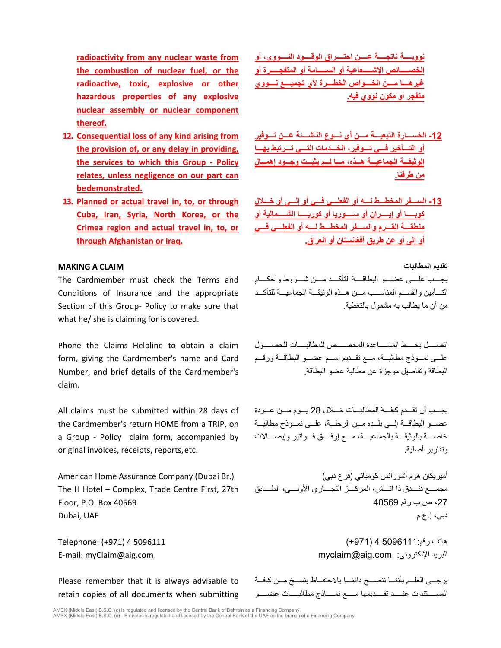**radioactivity from any nuclear waste from the combustion of nuclear fuel, or the radioactive, toxic, explosive or other hazardous properties of any explosive nuclear assembly or nuclear component thereof.**

- **12. Consequential loss of any kind arising from the provision of, or any delay in providing, the services to which this Group - Policy relates, unless negligence on our part can bedemonstrated.**
- **13. Planned or actual travel in, to, or through Cuba, Iran, Syria, North Korea, or the Crimea region and actual travel in, to, or through Afghanistan or Iraq.**

## **MAKING A CLAIM المطالبات تقدیم**

The Cardmember must check the Terms and Conditions of Insurance and the appropriate Section of this Group- Policy to make sure that what he/ she is claiming for is covered.

Phone the Claims Helpline to obtain a claim form, giving the Cardmember's name and Card Number, and brief details of the Cardmember's claim.

All claims must be submitted within 28 days of the Cardmember's return HOME from a TRIP, on a Group - Policy claim form, accompanied by original invoices, receipts, reports, etc.

The H Hotel – Complex, Trade Centre First, 27th Floor, P.O. Box 40569

Please remember that it is always advisable to retain copies of all documents when submitting **نوویــــة ناتجــــة عــــن احتــــراق الوقــــود النــــووي، أو الخصـــــائص الإشـــــعاعیة أو الســـــامة أو المتفجـــــرة أو غیرھــــا مــــن الخــــواص الخطــــرة لأي تجمیــــع نــــووي متفجر أو مكون نووي فیھ.**

- **-12 الخســـارة التبعیـــة مـــن أي نـــوع الناشـــئة عـــن تـــوفیر أو التـــأخیر فـــي تـــوفیر، الخـــدمات التـــي تـــرتبط بھـــا الوثیقـــة الجماعیـــة ھـــذه، مـــا لـــم یثبـــت وجـــود إھمـــال من طرفنا.**
- **-13 الســـفر المخطـــط لـــھ أو الفعلـــي فـــي أو إلـــى أو خـــلال كوبـــــا أو إیـــــران أو ســـــوریا أو كوریـــــا الشـــــمالیة أو منطقـــة القـــرم والســـفر المخطـــط لـــھ أو الفعلـــي فـــي أو إلى أو عن طریق أفغانستان أو العراق.**

یجــــب علــــى عضــــو البطاقــــة التأكــــد مــــن شــــروط وأحكــــام التـــأمین والقســـم المناســـب مـــن ھـــذه الوثیقـــة الجماعیـــة للتأكـــد من أن ما یطالب بھ مشمول بالتغطیة.

اتصــــل بخــــط المســــاعدة المخصــــص للمطالبــــات للحصــــول علـــى نمـــوذج مطالبـــة، مـــع تقـــدیم اســـم عضـــو البطاقـــة ورقـــم البطاقة وتفاصیل موجزة عن مطالبة عضو البطاقة.

یجـــب أن تقـــدم كافـــة المطالبـــات خـــلال 28 یـــوم مـــن عـــودة عضـــو البطاقـــة إلـــى بلـــده مـــن الرحلـــة، علـــى نمـــوذج مطالبـــة خاصـــة بالوثیقـــة بالجماعیـــة، مـــع إرفـــاق فـــواتیر وإیصـــالات وتقاریر أصلیة.

أمیریكان ھوم أشورانس كومباني (فرع دبي) (.Br Dubai (Company Assurance Home American مجمــــع فنــــدق ذا اتــــش، المركــــز التجــــاري الأولــــى، الطــــابق ،27 ص.ب رقم 40569 دبي، إ.ع.م UAE ,Dubai

ھاتف رقم5096111: 4 (+971) 5096111 4 (+971) :Telephone E-mail: [myClaim@aig.com](mailto:myClaim@aig.com) [myclaim@aig.com](mailto:myclaim@aig.com) :الإلكتروني البرید

> يرجـــى العلــم بأننـــا ننصـــح دائمًـــا بالاحتفـــاظ بنســخ مـــن كافـــة المســـــتندات عنـــــد تقـــــدیمھا مـــــع نمـــــاذج مطالبـــــات عضـــــو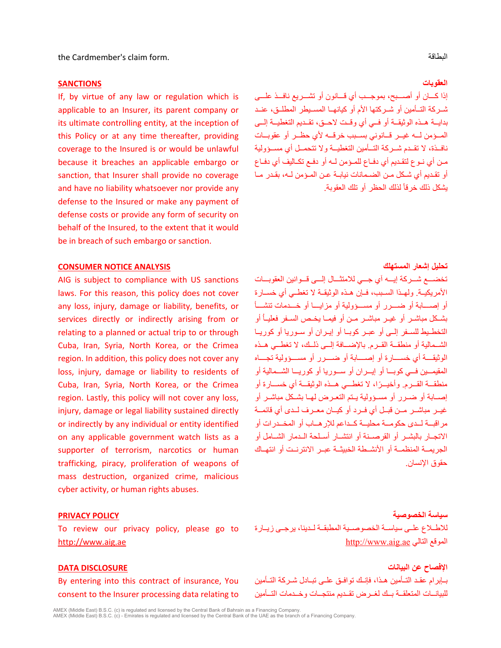the Cardmember's claim form. البطاقة

### **العقوبات SANCTIONS**

If, by virtue of any law or regulation which is applicable to an Insurer, its parent company or its ultimate controlling entity, at the inception of this Policy or at any time thereafter, providing coverage to the Insured is or would be unlawful because it breaches an applicable embargo or sanction, that Insurer shall provide no coverage and have no liability whatsoever nor provide any defense to the Insured or make any payment of defense costs or provide any form of security on behalf of the Insured, to the extent that it would be in breach of such embargo or sanction.

# **تحلیل إشعار المستھلك ANALYSIS NOTICE CONSUMER**

AIG is subject to compliance with US sanctions laws. For this reason, this policy does not cover any loss, injury, damage or liability, benefits, or services directly or indirectly arising from or relating to a planned or actual trip to or through Cuba, Iran, Syria, North Korea, or the Crimea region. In addition, this policy does not cover any loss, injury, damage or liability to residents of Cuba, Iran, Syria, North Korea, or the Crimea region. Lastly, this policy will not cover any loss, injury, damage or legal liability sustained directly or indirectly by any individual or entity identified on any applicable government watch lists as a supporter of terrorism, narcotics or human trafficking, piracy, proliferation of weapons of mass destruction, organized crime, malicious cyber activity, or human rights abuses.

To review our privacy policy, please go to [http://www.aig.ae](http://www.aig.ae/) 

# **الإفصاح عن البیانات DISCLOSURE DATA**

By entering into this contract of insurance, You consent to the Insurer processing data relating to

إذا كـــان أو أصـــبح، بموجـــب أي قـــانون أو تشـــریع نافـــذ علـــى شــركة التــأمین أو شــركتھا الأم أو كیانھــا المســیطر المطلــق، عنــد بدایــة ھــذه الوثیقــة أو فــي أي وقــت لاحــق، تقــدیم التغطیــة إلــى المــؤمن لــھ غیــر قــانوني بســبب خرقــھ لأي حظــر أو عقوبــ ات نافــذة، لا تقــدم شــركة التــأمین التغطیــة ولا تتحمــل أي مســؤولیة مــن أي نــوع لتقــدیم أي دفــاع للمــؤمن لــھ أو دفــع تكــالیف أي دفــاع أو تقـدیم أي شـكل مـن الضـمانات نیابـة عـن المـؤمن لـھ، بقـدر مـا يشكل ذلك خرقاً لذلك الحظر أو تلك العقوبة.

تخضـــع شـــركة إیـــھ آي جـــي للامتثـــال إلـــى قـــوانین العقوبـــات الأمریكیــة. ولھــذا الســبب، فــإن ھــذه الوثیقــة لا تغطــي أي خســارة أو إصـــابة أو ضـــرر أو مســـؤولیة أو مزایـــا أو خـــدمات تنشـــأ بشــكل مباشــر أو غیــر مباشــر مــن أو فیمــا یخــص الســفر فعلیــاُ أو التخطــیط للســفر إلــى أو عبــر كوبــا أو إیــران أو ســوریا أو كوریــا الشــمالیة أو منطقــة القــرم. بالإضــافة إلــى ذلــك، لا تغطــي ھــذه الوثیقــــة أي خســــارة أو إصــــابة أو ضــــرر أو مســــؤولیة تجــــاه المقیمـــین فـــي كوبـــا أو إیـــران أو ســـوریا أو كوریـــا الشـــمالیة أو منطقـــة ً القـــرم. وأخیـــرا، لا تغطـــي ھـــذه الوثیقـــة أي خســـارة أو إصــابة أو ضــرر أو مســؤولیة یــتم التعــرض لھــا بشــكل مباشــر أو غیــ ر مباشــر مــن قبــل أي فــرد أو كیــان معــرف لــدى أي قائمــة مراقبــة لــدى حكومــة محلیــة كــداعم للإرھــاب أو المخــدرات أو الاتجــار بالبشــر أو القرصــنة أو انتشــار أســلحة الــدمار الشــ امل أو الجریمــة المنظمــة أو الأنشــطة الخبیثــة عبــر الانترنــت أو انتھــاك حقوق الإنسان.

### **سیاسة الخصوصیة POLICY PRIVACY**

للاطــلاع علــى سیاســة الخصوصــیة المطبقــة لــدینا، یرجــى زیــارة [http://www.aig.ae](http://www.aig.ae/) التالي الموقع

بــإبرام عقــد التــأمین ھــذا، فإنــك توافــق علــى تبــادل شــركة التــأمین للبیانــات المتعلقــة بــك لغــرض تقــدیم منتجــات وخــدمات التــأمین

AMEX (Middle East) B.S.C. (c) is regulated and licensed by the Central Bank of Bahrain as a Financing Company.<br>AMEX (Middle East) B.S.C. (c) - Emirates is regulated and licensed by the Central Bank of the UAE as the branch